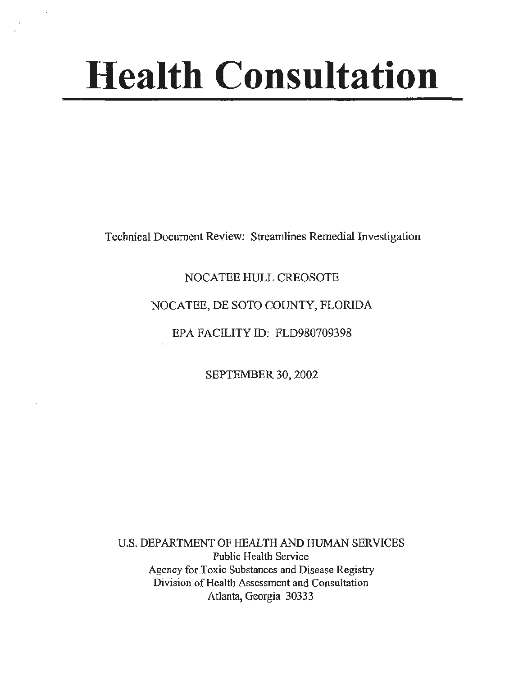# **Health Consultation**

Technical Document Review: Streamlines Remedial Investigation

# NOCATEE HULL CREOSOTE

# NOCATEE, DE SOTO COUNTY, FLORIDA

# EPA FACILITY ID: FLD980709398

SEPTEMBER 30, 2002

U.S. DEPARTMENT OF HEALTH AND HUMAN SERVICES Public Health Service Agency for Toxic Substances and Disease Registry Division of Health Assessment and Consultation Atlanta, Georgia 30333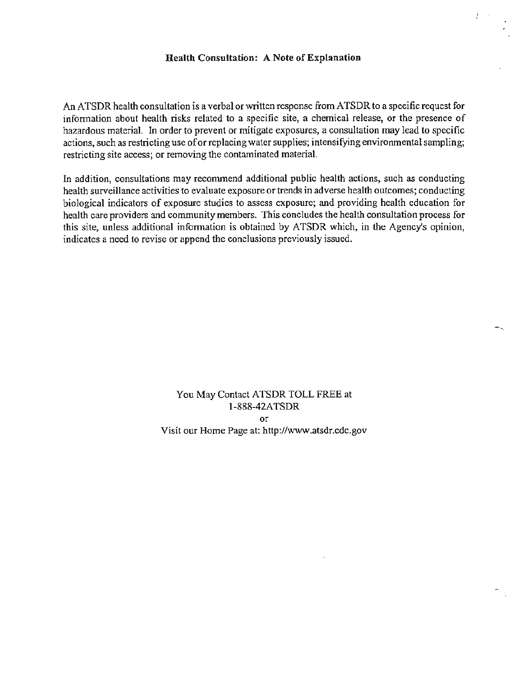#### Health Consultation: A Note of Explanation

 $\overline{I}$ 

An ATSDR health consultation is a verbal or written response from ATSDR to a specific request for information about health risks related to a specific site, a chemical release, or the presence of hazardous material. In order to prevent or mitigate exposures, a consultation may lead to specific actions, such as restricting use of or replacing water supplies; intensifying environmental sampling; restricting site access; or removing the contaminated material.

In addition, consultations may recommend additional public health actions, such as conducting health surveillance activities to evaluate exposure or trends in adverse health outcomes; conducting biological indicators of exposure studies to assess exposure; and providing health education for health care providers and community members. This concludes the health consultation process for this site, unless additional information is obtained by ATSDR which, in the Agency's opinion, indicates a need to revise or append the conclusions previously issued.

> You May Contact ATSDR TOLL FREE at 1-888-42ATSDR or Visit our Home Page at: http://www.atsdr.cdc.gov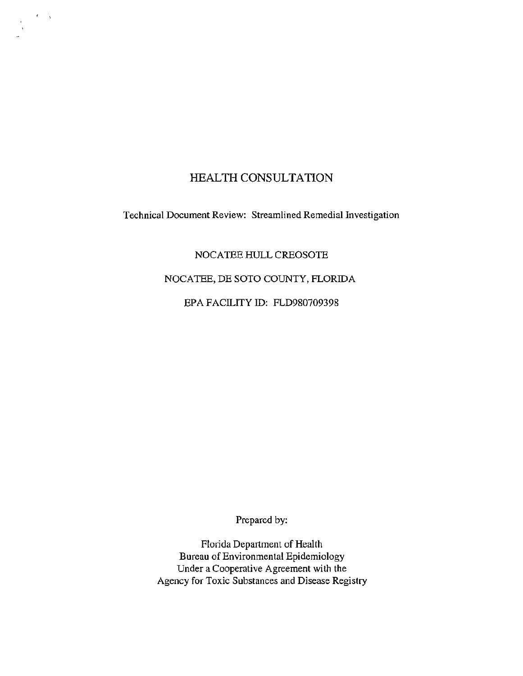## HEALTH CONSULTATION

 $\frac{1}{\sqrt{2}}$ 

Technical Document Review: Streamlined Remedial Investigation

NOCATEE HULL CREOSOTE

NOCATEE, DE SOTO COUNTY, FLORIDA

EPA FACILITY ID: FLD980709398

Prepared by:

Florida Department of Health Bureau of Environmental Epidemiology Under a Cooperative Agreement with the Agency for Toxic Substances and Disease Registry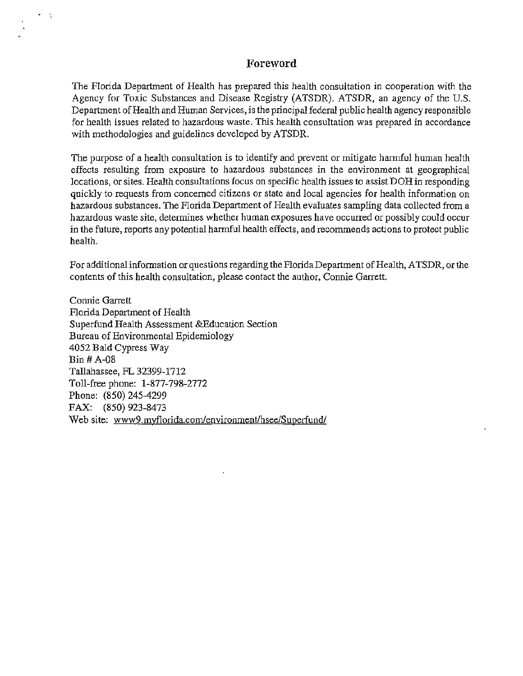#### **Foreword**

The Florida Department of Health has prepared this health consultation in cooperation with the Agency for Toxic Substances and Disease Registry (ATSDR). ATSDR, an agency of the U.S. Department of Health and Human Services, is the principal federal public health agency responsible for health issues related to hazardous waste. This health consultation was prepared in accordance with methodologies and guidelines developed by ATSDR.

The purpose of a health consultation is to identify and prevent or mitigate hannful human health effects resulting from exposure to hazardous substances in the environment at geographical locations, or sites. Health consultations focus on specific health issues to assist DOH in responding quickly to requests from concerned citizens or state and local agencies for health information on hazardous substances. The Florida Department of Health evaluates sampling data collected from a hazardous waste site, determines whether human exposures have occurred or possibly could occur in the future, reports any potential harmful health effects, and recommends actions to protect public health.

For additional information or questions regarding the Florida Department of Health, ATSDR, or the contents of this health consultation, please contact the author, Connie Garrett.

Connie Garrett Florida Department of Health Superfund Health Assessment &Education Section Bureau of Environmental Epidemiology 4052 Bald Cypress Way Bin# A-08 Tallahassee, FL 32399-1712 Toll-free phone: 1-877-798-2772 Phone: (850) 245-4299 FAX: (850) 923-8473 Web site: www9.myflorida.com/environment/hsee/Superfund/

..

 $\tau = \tau_{\rm c}$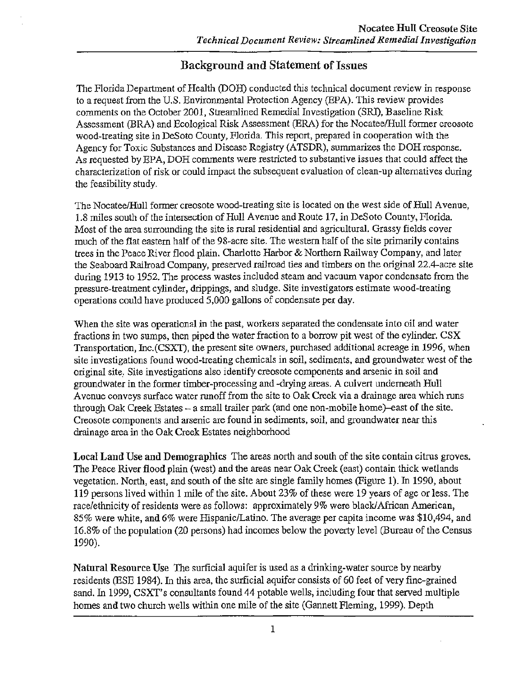# Background and Statement of Issues

The Florida Department of Health (DOH) conducted this technical document review in response to a request from the U.S. Environmental Protection Agency (EPA). This review provides comments on the October 2001, Streamlined Remedial Investigation (SRI), Baseline Risk Assessment (BRA) and Ecological Risk Assessment (ERA) for the Nocatee/Hull former creosote wood-treating site in DeSoto County, Florida. This report, prepared in cooperation with the Agency for Toxic Substances and Disease Registry (ATSDR), summarizes the DOH response. As requested by EPA, DOH comments were restricted to substantive issues that could affect the characterization of risk or could impact the subsequent evaluation of clean-up alternatives during the feasibility study.

The Nocatee/Hull former creosote wood-treating site is located on the west side of Hull A venue, 1.8 miles south of the intersection of Hull Avenue and Route 17, in DeSoto County, Florida. Most of the area surrounding the site is rural residential and agricultural. Grassy fields cover much of the flat eastern half of the 98-acre site. The western half of the site primarily contains trees in the Peace River flood plain. Charlotte Harbor & Northern Railway Company, and later the Seaboard Railroad Company, preserved railroad ties and timbers on the original 22.4-acre site during 1913 to 1952. The process wastes included steam and vacuum vapor condensate from the pressure-treatment cylinder, drippings, and sludge. Site investigators estimate wood-treating operations could have produced 5,000 gallons of condensate per day.

When the site was operational in the past, workers separated the condensate into oil and water fractions in two sumps, then piped the water fraction to a borrow pit west of the cylinder. CSX Transportation, Inc.(CSXT), the present site owners, purchased additional acreage in 1996, when site investigations found wood-treating chemicals in soil, sediments, and groundwater west of the original site,. Site investigations also identify creosote components and arsenic in soil and groundwater in the former timber-processing and -drying areas. A culvert underneath Hull Avenue conveys surface water runoff from the site to Oak Creek via a drainage area which runs through Oak Creek Estates  $-$  a small trailer park (and one non-mobile home)-east of the site. Creosote components and arsenic are found in sediments, soil, and groundwater near this drainage area in the Oak Creek Estates neighborhood

Local Land Use and Demographics The areas north and south of the site contain citrus groves. The Peace River flood plain (west) and the areas near Oak Creek (east) contain thick wetlands vegetation. North, east, and south of the site are single family homes (Figure 1). In 1990, about 119 persons lived within 1 mile of the site. About 23% of these were 19 years of age or less. The race/ethnicity of residents were as follows: approximately 9% were black/African American, 85% were white, and 6% were Hispanic/Latina. The average per capita income was \$10,494, and 16.8% of the population (20 persons) had incomes below the poverty level (Bureau of the Census 1990).

Natural Resource Use The surficial aquifer is used as a drinking-water source by nearby residents (ESE 1984). In this area, the surficial aquifer consists of 60 feet of very fine-grained sand. In 1999, CSXT's consultants found 44 potable wells, including four that served multiple homes and two church wells within one mile of the site (Gannett Fleming, 1999). Depth

1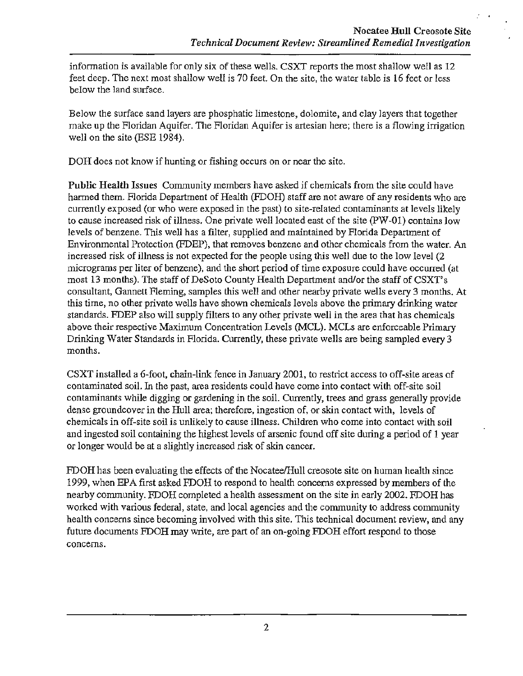information is available for only six of these wells. CSXT reports the most shallow well as 12 feet deep. The next most shallow well is 70 feet. On the site, the water table is 16 feet or less below the land surface.

Below the surface sand layers are phosphatic limestone, dolomite, and clay layers that together make up the Floridan Aquifer. The Floridan Aquifer is artesian here; there is a flowing irrigation well on the site (ESE 1984).

DOH does not know if hunting or fishing occurs on or near the site.

Public Health Issues Community members have asked if chemicals from the site could have harmed them. Florida Department of Health (FDOH) staff are not aware of any residents who are currently exposed (or who were exposed in the past) to site-related contaminants at levels likely to cause increased risk of illness. One private well located east of the site (PW-01) contains low levels of benzene. This well has a filter, supplied and maintained by Florida Department of Environmental Protection (FDEP), that removes benzene and other chemicals from the water. An increased risk of illness is not expected for the people using this well due to the low level (2 micrograms per liter of benzene), and the short period of time exposure could have occurred (at most 13 months). The staff of DeSoto County Health Department and/or the staff of CSXT's consultant, Gannett Fleming, samples this well and other nearby private wells every 3 months. At this time, no other private wells have shown chemicals levels above the primary drinking water standards. FDEP also will supply filters to any other private well in the area that has chemicals above their respective Maximum Concentration Levels (MCL). MCLs are enforceable Primary Drinking Water Standards in Florida. Currently, these private wells are being sampled every 3 months.

CSXT installed a 6-foot, chain-link fence in January 2001, to restrict access to off-site areas of contaminated soil. In the past, area residents could have come into contact with off-site soil contaminants while digging or gardening in the soil. Currently, trees and grass generally provide dense groundcover in the Hull area; therefore, ingestion of, or skin contact with, levels of chemicals in off-site soil is unlikely to cause illness. Children who come into contact with soil and ingested soil containing the highest levels of arsenic found off site during a period of 1 year or longer would be at a slightly increased risk of skin cancer.

FDOH has been evaluating the effects of the Nocatee/Hull creosote site on human health since 1999, when EPA first asked FDOH to respond to health concerns expressed by members of the nearby community. FDOH completed a health assessment on the site in early 2002. FDOH has worked with various federal, state, and local agencies and the community to address community health concerns since becoming involved with this site. This technical document review, and any future documents FDOH may write, are part of an on-going FDOH effort respond to those concerns.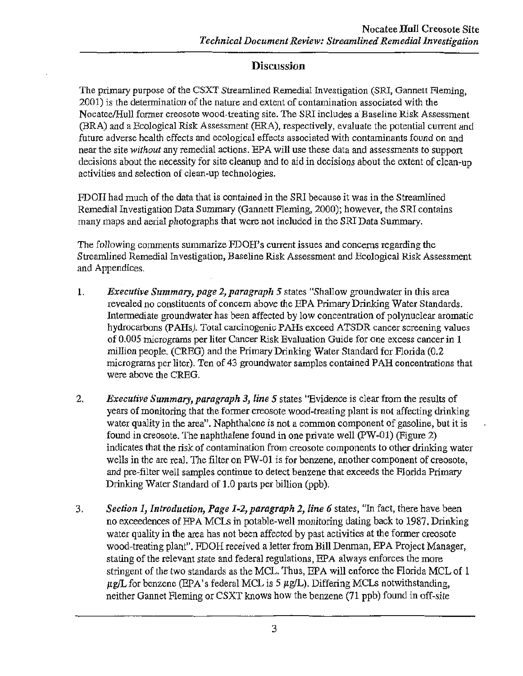# **Discussion**

The primary purpose of the CSXT Streamlined Remedial Investigation (SRI, Gannett Fleming, 2001) is the determination of the nature and extent of contamination associated with the Nocatee/Hull former creosote wood-treating site. The SRI includes a Baseline Risk Assessment (BRA) and a Ecological Risk Assessment (ERA), respectively, evaluate the potential current and future adverse health effects and ecological effects associated with contaminants found on and near the site *without* any remedial actions. EPA will use these data and assessments to support decisions about the necessity for site cleanup and to aid in decisions about the extent of clean-up activities and selection of clean-up technologies.

FDOH had much of the data that is contained in the SRI because it was in the Streamlined Remedial Investigation Data Summary (Gannett Fleming, 2000); however, the SRI contains many maps and aerial photographs that were not included in the SRI Data Summary.

The following comments summarize FDOH's current issues and concerns regarding the Streamlined Remedial Investigation, Baseline Risk Assessment and Ecological Risk Assessment and Appendices.

- 1. *Executive Summary, page 2, paragraph 5* states "Shallow groundwater in this area revealed no constituents of concern above the EPA Primary Drinking Water Standards. Intermediate groundwater has been affected by low concentration of polynuclear aromatic hydrocarbons (PAHs). Total carcinogenic PAHs exceed ATSDR cancer screening values of 0.005 micrograms per liter Cancer Risk Evaluation Guide for one excess cancer in 1 million people. (CREG) and the Primary Drinking Water Standard for Florida (0.2 micrograms per liter). Ten of 43 groundwater samples contained PAH concentrations that were above the CREG.
- 2. *Executive Summary, paragraph 3, line 5* states ''Evidence is clear from the results of years of monitoring that the former creosote wood-treating plant is not affecting drinking water quality in the area". Naphthalene is not a common component of gasoline, but it is found in creosote. The naphthalene found in one private well (PW-01) (Figure 2) indicates that the risk of contamination from creosote components to other drinking water wells in the are real. The filter on PW-01 is for benzene, another component of creosote. and pre-filter well samples continue to detect benzene that exceeds the Florida Primary Drinking Water Standard of 1.0 parts per billion (ppb).
- 3. *Section 1, Introduction, Page* 1~2, *paragraph 2, line 6* states, "In fact, tnere have been no exceedences of EPA MCLs in potable-well monitoring dating back to 1987. Drinking water quality in the area has not been affected by past activities at the former creosote wood-treating plant". FDOH received a letter from Bill Denman, EPA Project Manager, stating of the relevant state and federal regulations, EPA always enforces the more stringent of the two standards as the MCL. Thus, EPA will enforce the Florida MCL of 1  $\mu\gamma$ L for benzene (EPA's federal MCL is 5  $\mu\gamma$ L). Differing MCLs notwithstanding, neither Gannet Fleming or CSXT knows how the benzene (71 ppb) found in off-site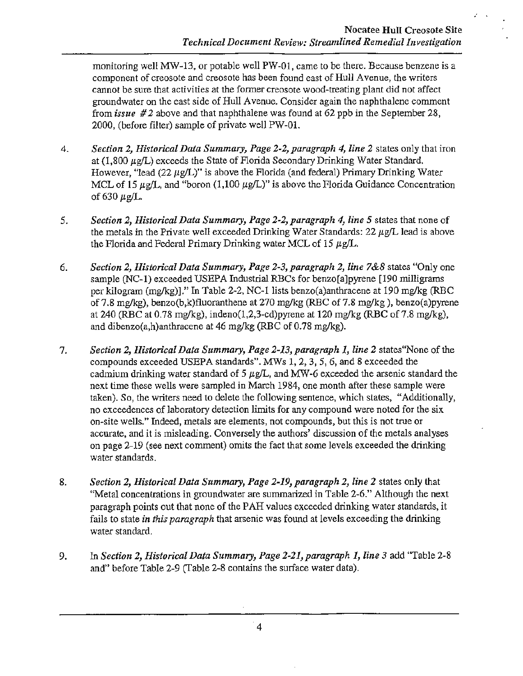monitoring well MW-13, or potable well PW-01, came to be there. Because benzene is a component of creosote and creosote has been found east of Hull A venue, the writers cannot be sure that activities at the former creosote wood-treating plant did not affect groundwater on the east side of Hull A venue. Consider again the naphthalene comment from *issue* #2 above and that naphthalene was found at 62 ppb in the September 28, 2000, (before filter) sample of private well PW-01.

- 4. *Section 2, Historical Data Summary, Page 2-2, paragraph 4, line 2* states only that iron at (1,800  $\mu\text{g}/L$ ) exceeds the State of Florida Secondary Drinking Water Standard. However, "lead (22  $\mu$ g/L)" is above the Florida (and federal) Primary Drinking Water MCL of 15  $\mu\text{g}/L$ , and "boron (1,100  $\mu\text{g}/L$ )" is above the Florida Guidance Concentration of 630  $\mu$ g/L.
- 5. *Section 2, Historical Data Summary, Page 2-2, paragraph 4, line 5* states that none of the metals in the Private well exceeded Drinking Water Standards: 22  $\mu$ g/L lead is above the Florida and Federal Primary Drinking water MCL of 15  $\mu$ g/L.
- 6. *Section 2, Historical Data Summary, Page 2-3, paragraph 2, line 7&8* states "Only one sample (NC-1) exceeded USEPA Industrial RBCs for benzo[a]pyrene [190 milligrams per kilogram (mg/kg)]." In Table 2-2, NC-1 lists benzo(a)anthracene at 190 mg/kg (RBC of 7.8 mg/kg), benzo(b,k)fluoranthene at 270 mg/kg (RBC of 7.8 mg/kg), benzo(a)pyrene at 240 (RBC at 0.78 mg/kg), indeno(1,2,3-cd)pyrene at 120 mg/kg (RBC of 7.8 mg/kg), and dibenzo(a,h)anthracene at 46 mg/kg (RBC of 0.78 mg/kg).
- 7. *Section 2, Historical Data Summary, Page 2-13, paragraph 1, line 2* states"None of the compounds exceeded USEPA standards". MWs 1, 2, 3, 5, 6, and 8 exceeded the cadmium drinking water standard of 5  $\mu$ g/L, and MW-6 exceeded the arsenic standard the next time these wells were sampled in March 1984, one month after these sample were taken). So, the writers need to delete the following sentence, which states, "Additionally, no exceedences of laboratory detection limits for any compound were noted for the six on-site wells." Indeed, metals are elements, not compounds, but this is not true or accurate, and it is misleading. Conversely the authors' discussion of the metals analyses on page 2-19 (see next comment) omits the fact that some levels exceeded the drinking water standards.
- 8. *Section 2, Historical Data Summary, Page 2-19, paragraph 2, line 2* states only that "Metal concentrations in groundwater are summarized in Table 2-6." Although the next paragraph points out that none of the PAH values exceeded drinking water standards, it fails to state *in this paragraph* that arsenic was found at levels exceeding the drinking water standard.
- 9. In *Section 2, Historical Data Summary, Page 2-21, paragraph 1, line 3* add "Table 2-8" and" before Table 2-9 (Table 2-8 contains the surface water data).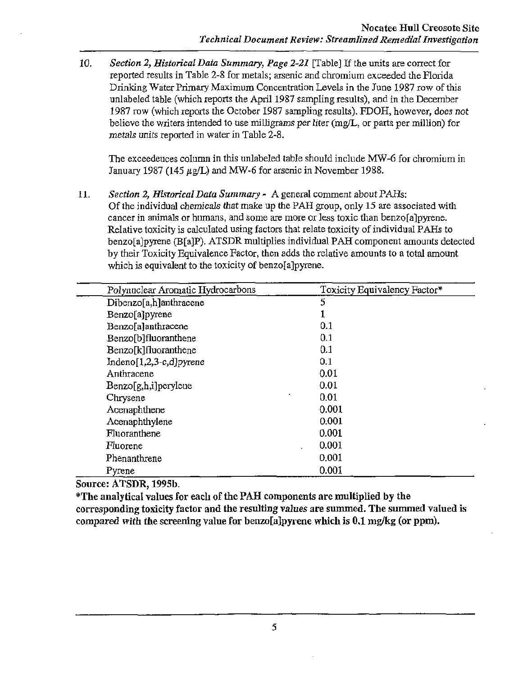10. *Section 2, Historical Data Summary, Rage 2-21* [Table] If the units are correct for reported results in Table 2-8 for metals; arsenic and chromium exceeded the Florida Drinking Water Primary Maximum Concentration Levels in the June 1987 row of this unlabeled table (which reports the April 1987 sampling results), and in the December 1987 row (which reports the October 1987 sampling results). FDOH, however, does not believe the writers intended to use milligrams per liter (mg/L, or parts per million) for metals units reported in water in Table 2-8.

The exceedences column in this unlabeled table should include MW -6 for chromium in January 1987 (145 µg/L) and MW-6 for arsenic in November 1988.

11. *Section 2, Historical Data Summary* - A general comment about PAHs: Of the individual chemicals that make up the PAH group, only 15 are associated with cancer in animals or humans, and some are more or less toxic than benzo[a]pyrene. Relative toxicity is calculated using factors that relate toxicity of individual PAHs to benzo[a]pyrene (B[a]P). ATSDR multiplies individual PAH component amounts detected by their Toxicity Equivalence Factor, then adds the relative amounts to a total amount which is equivalent to the toxicity of benzo[a]pyrene.

| Polynuclear Aromatic Hydrocarbons | Toxicity Equivalency Factor* |
|-----------------------------------|------------------------------|
| Dibenzo[a,h]anthracene            | 5                            |
| Benzo[a]pyrene                    |                              |
| Benzo[a]anthracene                | 0.1                          |
| Benzo[b]fluoranthene              | 0.1                          |
| Benzo[k]fluoranthene              | 0.1                          |
| $Indeno[1,2,3-c,d]pyrene$         | 0.1                          |
| Anthracene                        | 0.01                         |
| Benzo[g,h,i]peryleue              | 0.01                         |
| Chrysene                          | 0.01                         |
| Acenaphthene                      | 0.001                        |
| Acenaphthylene                    | 0.001                        |
| Fluoranthene                      | 0.001                        |
| Fluorene                          | 0.001                        |
| Phenanthrene                      | 0.001                        |
| Pyrene                            | 0.001                        |

Source: ATSDR, 199Sb.

\*The analytical values for each of the PAH components are multiplied by the corresponding toxicity factor and the resulting values are summed. The summed valued is compared with the screening value for benzo[a]pyrene which is 0.1 mg/kg (or ppm).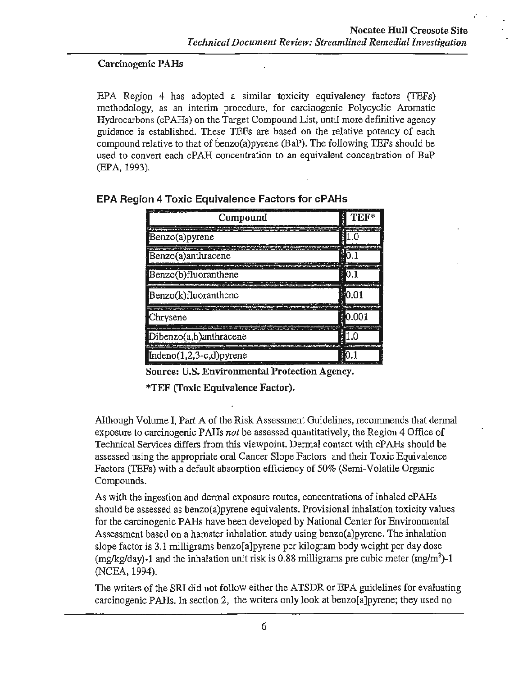#### Carcinogenic PAHs

EPA Region 4 has adopted a similar toxicity equivalency factors (TEFs) methodology, as an interim procedure, for carcinogenic Polycyclic Aromatic Hydrocarbons (cPAHs) on the Target Compound List, until more definitive agency guidance is established. These TEFs are based on the relative potency of each compound relative to that of benzo(a) pyrene (BaP). The following TEFs should be used to convert each cPAH concentration to an equivalent concentration of BaP (EPA, 1993).

| Compound                            | H<br>теғ*           |
|-------------------------------------|---------------------|
| Benzo(a)pyrene                      |                     |
| Benzo(a)anthracene                  |                     |
| Benzo(b)fluoranthene                |                     |
| Benzo(k)fluoranthene                | $\blacksquare$ 0.01 |
| Chrysene                            | 0.001               |
| Dibenzo(a,h)anthracene              |                     |
| $\mathbf{Indeno}(1,2,3-c,d)$ pyrene |                     |

#### EPA Region 4 Toxic Equivalence Factors for cPAHs

Source: U.S. Environmental Protection Agency.

\*TEF (Toxic Equivalence Factor).

Although Volume I, Part A of the Risk Assessment Guidelines, recommends that dermal exposure to carcinogenic PAHs *not* be assessed quantitatively, the Region 4 Office of Technical Services differs from this viewpoint. Dermal contact with cPAHs should be assessed using the appropriate oral Cancer Slope Factors and their Toxic Equivalence Factors (TEFs) with a default absorption efficiency of 50% (Semi-Volatile Organic Compounds.

As with the ingestion and dermal exposure routes, concentrations of inhaled cPAHs should be assessed as benzo(a)pyrene equivalents. Provisional inhalation toxicity values for the carcinogenic PAHs have been developed by National Center for Environmental Assessment based on a hamster inhalation study using benzo(a)pyrene. The inhalation slope factor is 3.1 milligrams benzo[a]pyrene per kilogram body weight per day dose (mg/kg/day)-1 and the inhalation unit risk is 0.88 milligrams pre cubic meter (mg/m<sup>3</sup>)-1 (NCEA, 1994).

The writers of the SRI did not follow either the ATSDR or EPA guidelines for evaluating carcinogenic PAHs. In section 2, the writers only look at benzo[a]pyrene; they used no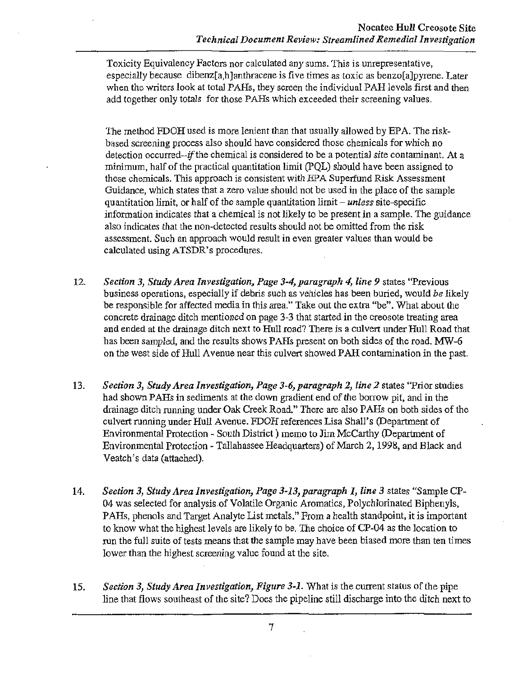Toxicity Equivalency Factors nor calculated any sums. This is unrepresentative, especially because dibenz[a,h]anthracene is five times as toxic as benzo[a]pyrene. Later when the writers look at total PAHs, they screen the individual PAH levels first and then add together only totals for those PAHs which exceeded their screening values.

The method FDOH used is more lenient than that usually allowed by EPA. The riskbased screening process also should have considered those chemicals for which no detection occurred--if the chemical is considered to be a potential site contaminant. At a minimum, half of the practical quantitation limit (PQL) should have been assigned to these chemicals. *This* approach is consistent with EPA Superfund Risk Assessment Guidance, which states that a zero value should not be used in the place of the sample quantitation limit, or half of the sample quantitation limit- *unless* site-specific information indicates that a chemical is not likely to be present in a sample. The guidance also indicates that the non-detected results should not be omitted from the risk assessment. Such an approach would result in even greater values than would be calculated using ATSDR's procedures.

- 12. *Section 3, Study Area Investigation, Page 3-4, paragraph 4, line 9* states "Previous business operations, especially if debris such as vehicles has been buried, would *be* likely be responsible for affected media in this area." Take out the extra "be". What about the concrete drainage ditch mentioned on page 3-3 that started in the creosote treating area and ended at the drainage ditch next to Hull road? There is a culvert under Hull Road that has been sampled, and the results shows PAHs present on both sides of the road. MW-6 on the west side of Hull Avenue near this culvert showed PAH contamination in the past.
- 13. *Section 3, Study Area Investigation, Page 3-6, paragraph 2, line 2 states "Prior studies* had shown PAHs in sediments at the down gradient end of the borrow pit, and in the drainage ditch running under Oak Creek Road." There are alsoP AHs on both sides of the culvert running under Hull Avenue. FDOH references Lisa Shall's (Department of Environmental Protection - South District ) memo to Jim McCarthy (Department of Environmental Protection- Tallahassee Headquarters) of March 2, 1998, and Black and Veatch's data (attached).
- 14. *Section 3, Study Area Investigation, Page 3-13, paragraph 1, line 3* states "Sample CP-04 was selected for analysis of Volatile Organic Aromatics, Polychlorinated Biphenyls, PAHs, phenols and Target Analyte List metals." From a health standpoint, it is important to know what the highest levels are likely to be. The choice of CP-04 as the location to run the full suite of tests means that the sample may have been biased more than ten times lower than the highest screening value found at the site.
- 15. *Section 3, Study Area Investigation, Figure 3-1.* What is the current status of the pipe line that flows southeast of the site? Does the pipeline still discharge into the ditch next to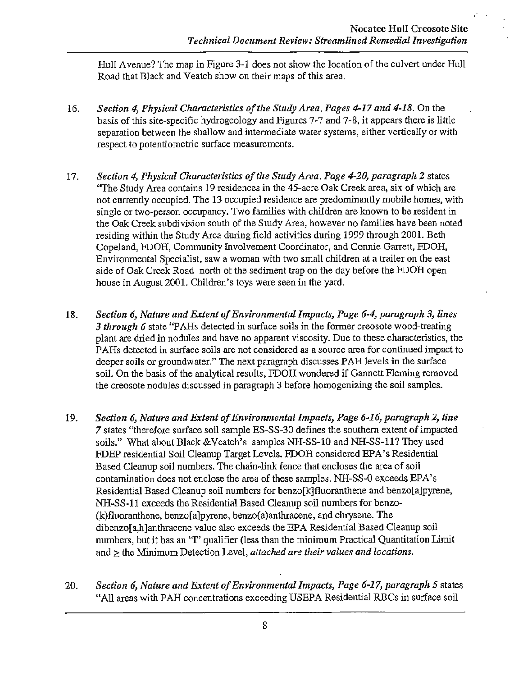Hull Avenue? The map in Figure 3-1 does not show the location of the culvert under Hull Road that Black and Veatch show on their maps of this area.

- 16. *Section 4, Physical Characteristics of the Study Area, Pages 4-17 and 4-18.* On the basis of this site-specific hydrogeology and Figures 7-7 and 7-8, it appears there is little separation between the shallow and intermediate water systems, either vertically or with respect to potentiometric surface measurements.
- 17. *Section 4, Physical Characteristics of the Study Area, Page 4-20, paragraph 2* states ''The Study Area contains 19 residences in the 45-acre Oak Creek area, six of which are not currently occupied. The 13 occupied residence are predominantly mobile homes, with single or two-person occupancy. Two families with children are known to be resident in the Oak Creek subdivision south of the Study Area, however no families have been noted residing within the Study Area during field activities during 1999 through 2001. Beth Copeland, FDOH, Community Involvement Coordinator, and Connie Garrett, FDOH, Environmental Specialist, saw a woman with two small children at a trailer on the east side of Oak Creek Road north of the sediment trap on the day before the FDOH open house in August 2001. Children's toys were seen in the yard.
- 18. *Section 6, Nature and Extent of Environmental Impacts, Page 6-4, paragraph 3, lines*  3 through 6 state "PAHs detected in surface soils in the former creosote wood-treating plant are dried in nodules and have no apparent viscosity. Due to these characteristics, the PAHs detected in surface soils are not considered as a source area for continued impact to deeper soils or groundwater." The next paragraph discusses PAH levels in the surface soil. On the basis of the analytical results, FDOH wondered if Gannett Fleming removed the creosote nodules discussed in paragraph 3 before homogenizing the soil samples.
- 19. *Section 6, Nature and Extent of Environmental Impacts, Page 6-16, paragraph 2, line 7* states "therefore surface soil sample ES-SS-30 defines the southern extent of impacted soils." What about Black &Veatch's samples NH-SS-10 and NH-SS-11? They used FDEP residential Soil Cleanup Target Levels. FDOH considered EPA's Residential Based Cleanup soil numbers. The chain-link fence that encloses the area of soil contamination does not enclose the area of these samples. NH-SS-0 exceeds EPA's Residential Based Cleanup soil numbers for benzo[k]fluoranthene and benzo[a]pyrene, NH-SS-11 exceeds the Residential Based Cleanup soil numbers for benzo- (k)fluoranthene, benzo[a]pyrene, benzo(a)anthracene, and chrysene. The dibenzo[a,h]anthracene value also exceeds the EPA Residential Based Cleanup soil numbers, but it has an "f' qualifier (less than the minimum Practical Quantitation Limit and > the Minimum Detection Level, *attached are their values and locations*.
- 20. *Section 6, Nature and Extent of Environmental Impacts, Page 6-17, paragraph 5* states "All areas with PAH concentrations exceeding USEPA Residential RBCs in surface soil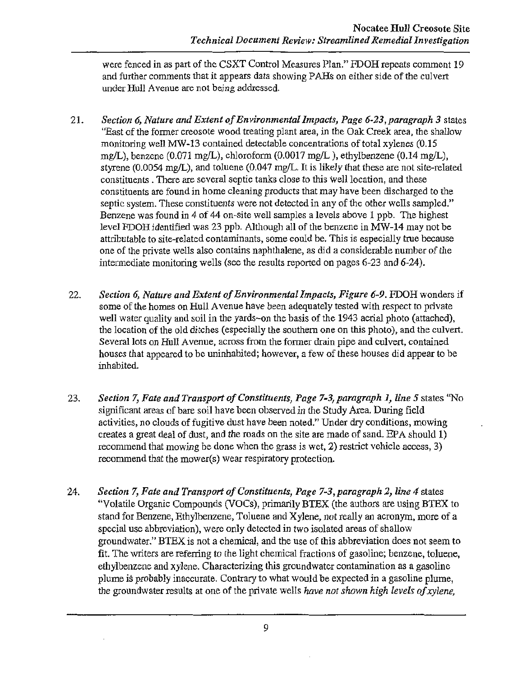were fenced in as part of the CSXT Control Measures Plan." FDOH repeats comment 19 and further comments that it appears data showing PAHs on either side of the culvert under Hull A venue are not being addressed.

- 21. *Section 6, Nature and Extent of Environmental Impacts, Page 6-23,paragraph 3* states ''East of the former creosote wood treating plant area, in the Oak Creek area, the shallow monitoring well MW-13 contained detectable concentrations of total xylenes (0.15 mg/L), benzene (0.071 mg/L), chloroform (0.0017 mg/L ), ethylbenzene (0.14 mg/L), styrene (0.0054 mg/L), and toluene (0.047 mg/L. It is likely that these are not site-related constituents . There are several septic tanks close to this well location, and these constituents are found in home cleaning products that may have been discharged to the septic system. These constituents were not detected in any of the other wells sampled." Benzene was found in 4 of 44 on-site well samples a levels above 1 ppb. The highest level FDOH identified was 23 ppb. Although all of the benzene in MW-14 may not be attributable to site-related contaminants, some could be. This is especially true because one of the private wells also contains naphthalene, as did a considerable number of the intermediate monitoring wells (see the results reported on pages 6-23 and 6-24).
- 22. *Section 6, Nature and Extent of Environmental Impacts, Figure 6-9.* FDOH wonders if some of the homes on Hull A venue have been adequately tested with respect to private well water quality and soil in the yards-on the basis of the 1943 aerial photo (attached), the location of the old ditches (especially the southern one on this photo), and the culvert. Several lots on Hull Avenue, across from the former drain pipe and culvert, contained houses that appeared to be uninhabited; however, a few of these houses did appear to be inhabited.
- 23. *Section 7, Fate and Transport of Constituents, Page 7-3, paragraph 1, line 5 states "No* significant areas of bare soil have been observed in the Study Area. During field activities, no clouds of fugitive dust have been noted." Under dry conditions, mowing creates a great deal of dust, and the roads on the site are made of sand. EPA should 1) recommend that mowing be done when the grass is wet, 2) restrict vehicle access, 3) recommend that the mower(s) wear respiratory protection.
- 24. *Section 7, Fate and Transport of Constituents, Page 7-3,paragraph 2, line 4* states "Volatile Organic Compounds (VOCs), primarily BTEX (the authors are using BTEX to stand for Benzene, Ethylbenzene, Toluene and Xylene, not really an acronym, more of a special use abbreviation), were only detected in two isolated areas of shallow groundwater." BTEX is not a chemical, and the use of this abbreviation does not seem to fit. The writers are referring to the light chemical fractions of gasoline; benzene, toluene, ethylbenzene and xylene. Characterizing this groundwater contamination as a gasoline plume is probably inaccurate. Contrary to what would be expected in a gasoline plume, the groundwater results at one of the private wells *have not shown high levels of xylene,*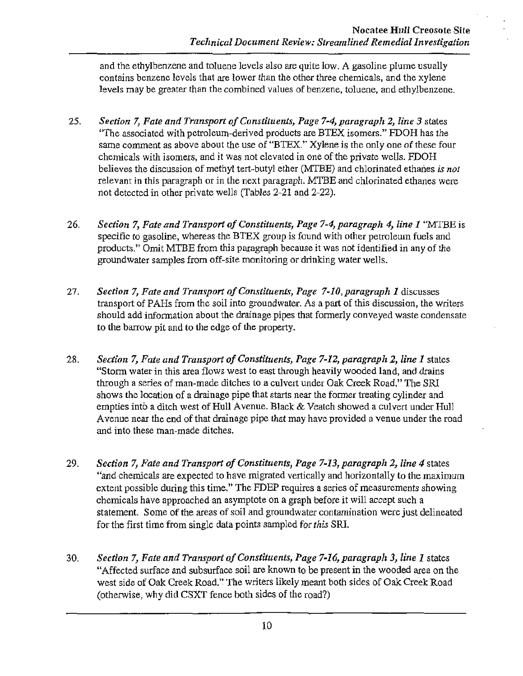and the ethylbenzene and toluene levels also are quite low. A gasoline plume usually contains benzene levels that are lower than the other three chemicals, and the xylene levels may be greater than the combined values of benzene, toluene, and ethylbenzene.

- 25. *Section 7, Fate and Transport of Constituents, Page 7-4, paragraph 2, line 3* states "The associated with petroleum-derived products are BTEX isomers." FDOH has the same comment as above about the use of "BTEX." Xylene is the only one of these four chemicals *with* isomers, and it was not elevated in one of the private wells. FDOH believes the discussion of methyl tert-butyl ether (MTBE) and chlorinated ethanes *is not*  relevant in this paragraph or in the next paragraph. MTBE and chlorinated ethanes were not detected in other private wells (Tables 2-21 and 2-22).
- 26. *Section 7, Fate and Transport of Constituents, Page 7-4, paragraph 4, line 1* "MTBE is specific to gasoline, whereas the BTEX group is found with other petroleum fuels and products." Omit MTBE from this paragraph because it was not identified in any of the groundwater samples from off-site monitoring or drinking water wells.
- 27. *Section 7, Fate and Transport of Constituents, Page 7-10,paragraph 1* discusses transport of PAHs from the soil into groundwater. As a part of this discussion, the writers should add information about the drainage pipes that formerly conveyed waste condensate to the barrow pit and to the edge of the property.
- 28. *Section 7, Fate and Transport of Constituents, Page 7-12, paragraph 2, line 1* states "Storm water in this area flows west to east through heavily wooded land, and drains through a series of man-made ditches to a culvert under Oak Creek Road." The SRI shows the location of a drainage pipe that starts near the former treating cylinder and empties into a ditch west of Hull Avenue. Black & Veatch showed a culvert under Hull A venue near the end of that drainage pipe that may have provided a venue under the road and into these man-made ditches.
- 29. *Section 7, Fate and Transport of Constituents, Page 7-13, paragraph 2, line 4* states "and chemicals are expected to have migrated vertically and horizontally to the maximum extent possible during this time." The FDEP requires a series of measurements showing chemicals have approached an asymptote on a graph before it will accept such a statement. Some of the areas of soil and groundwater contamination were just delineated for the first time from single data points sampled for *this* SRI.
- 30. *Section 7, Fate and Transport of Comtituents, Page 7-16, paragraph 3, line 1* states "Affected surface and subsurface soil are known to be present in the wooded area on the west side of Oak Creek Road." The writers likely meant both sides of Oak Creek Road (otherwise, why did CSXT fence both sides of the road?)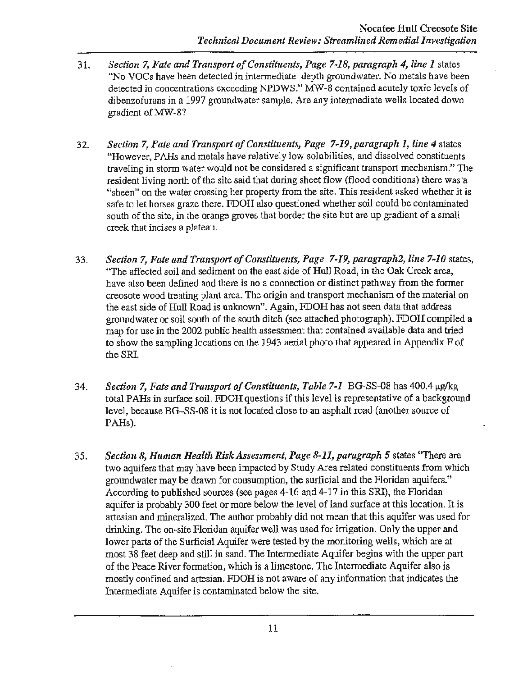- 31. *Section 7, Fate and Transport of Constituents, Page 7-18, paragraph 4, line 1* states "No VOCs have been detected in intermediate depth groundwater. No metals have been detected in concentrations exceeding NPDWS." MW-8 contained acutely toxic levels of dibenzofurans in a 1997 groundwater sample. Are any intermediate wells located down gradient ofMW-8?
- 32. *Section 7, Fate and Transport of Constituents, Page 7-19,paragraph 1, line 4* states "However, PAHs and metals have relatively low solubilities, and dissolved constituents traveling in storm water would not be considered a significant transport mechanism." The resident living north of the site said that during sheet flow (flood conditions) there was a "sheen" on the water crossing her property from the site. This resident asked whether it is safe to let horses graze there. FDOH also questioned whether soil could be contaminated south of the site, in the orange groves that border the site but are up gradient of a small creek that incises a plateau.
- 33. *Section 7, Fate and Transport of Constituents, Page 7-19, paragraph2, line 7-10* states, ''The affected soil and sediment on the east side of Hull Road, in the Oak Creek area, have also been defined and there is no a connection or distinct pathway from the former creosote wood treating plant area. The origin and transport mechanism of the material on the east side of Hull Road is unknown". Again, FDOH has not seen data that address groundwater or soil south of the south ditch (see attached photograph). FDOH compiled a map for use in the 2002 public health assessment that contained available data and tried to show the sampling locations on the 1943 aerial photo that appeared in Appendix F of the SRI.
- 34. *Section 7, Fate and Transport of Constituents, Table 7-1* BG-SS-08 has 400.4  $\mu$ g/kg total PAHs in surface soil. FDOH questions if this level is representative of a background level, because BG-SS-08 it is not located close to an asphalt road (another source of PAHs).
- 35. *Section 8, Human Health Risk Assessment, Page 8-11, paragraph 5* states ''There are two aquifers that may have been impacted by Study Area related constituents from which groundwater may be drawn for consumption, the surficial and the Floridan aquifers." According to published sources (see pages 4-16 and 4-17 in this SRI), the Floridan aquifer is probably 300 feet or more below the level of land surface at this location. It is artesian and mineralized. The author probably did not mean that this aquifer was used for drinking. The on-site Floridan aquifer well was used for irrigation. Only the upper and lower parts of the Surficial Aquifer were tested by the monitoring wells, which are at most 38 feet deep and still in sand. The Intermediate Aquifer begins with the upper part of the Peace River formation, which is a limestone. The Intermediate Aquifer also is mostly confined and artesian. FDOH is not aware of any information that indicates the Intermediate Aquifer is contaminated below the site.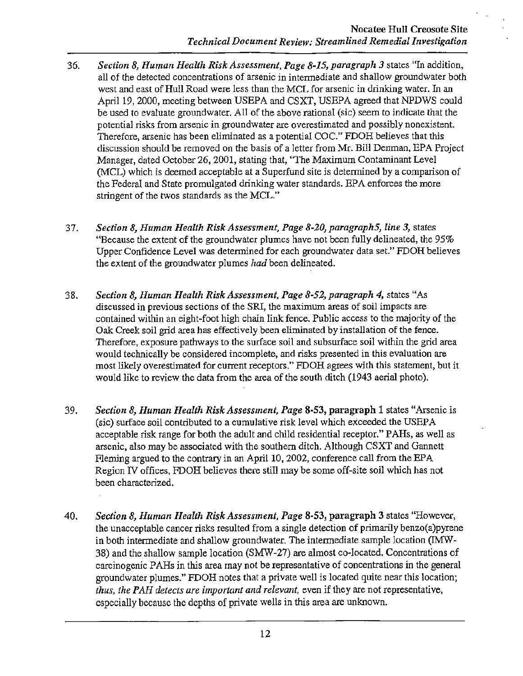- 36. *Section 8, Human Health Risk Assessment, Page 8-15, paragraph 3* states "In addition, all of the detected concentrations of arsenic in intermediate and shallow groundwater both west and east of Hull Road were less than the MCL for arsenic in drinking water. In an April 19, 2000, meeting between USEPA and CSXT, USEPA agreed that NPDWS could be used to evaluate groundwater. All of the above rational (sic) seem to indicate that the potential risks from arsenic in groundwater are overestimated and possibly nonexistent. Therefore, arsenic has been eliminated as a potential COC." FDOH believes that this discussion should be removed on the basis of a letter from Mr. Bill Denman, EPA Project Manager, dated October 26, 2001, stating that, ''The Maximum Contaminant Level (MCL) which is deemed acceptable at a Superfund site is determined by a comparison of the Federal and State promulgated drinking water standards. EPA enforces the more stringent of the twos standards as the MCL."
- 37. *Section 8, Human Health Risk Assessment, Page 8-20, paragraphS, line 3,* states "Because the extent of the groundwater plumes have not been fully delineated, the 95% Upper Confidence Level was determined for each groundwater data set." FDOH believes the extent of the groundwater plumes *had* been delineated.
- 38. *Section 8, Human Health Risk Assessment, Page 8-52, paragraph 4,* states "As discussed in previous sections of the SRI, the maximum areas of soil impacts are contained within an eight-foot high chain link fence. Public access to the majority of the Oak Creek soil grid area has effectively been eliminated by installation of the fence. Therefore, exposure pathways to the surface soil and subsurface soil within the grid area would technically be considered incomplete, and risks presented in this evaluation are most likely overestimated for current receptors." FDOH agrees with this statement, but it would like to review the data from the area of the south ditch (1943 aerial photo).
- 39. *Section 8, Human Health Risk Assessment, Page* 8-53, paragraph 1 states "Arsenic is (sic) surface soil contributed to a cumulative risk level which exceeded the USEPA acceptable risk range for both the adult and child residential receptor." PAHs, as well as arsenic, also may be associated with the southern ditch. Although CSXT and Gannett Fleming argued to the contrary in an April 10, 2002, conference call from the EPA Region N offices, FDOH believes there still may be some off-site soil which has not been characterized.
- 40. *Section 8, Human Health Risk Assessment, Page* 8-53, paragraph 3 states "However, the unacceptable cancer risks resulted from a single detection of primarily benzo(a)pyrene in both intermediate and shallow groundwater. The intermediate sample location (IMW-38) and the shallow sample location (SMW-27) are almost co-located. Concentrations of carcinogenic PAHs in this area may not be representative of concentrations in the general groundwater plumes." FDOH notes that a private well is located quite near this location; *thus, the PAR detects are important and relevant,* even if they are not representative, especially because the depths of private wells in this area are unknown.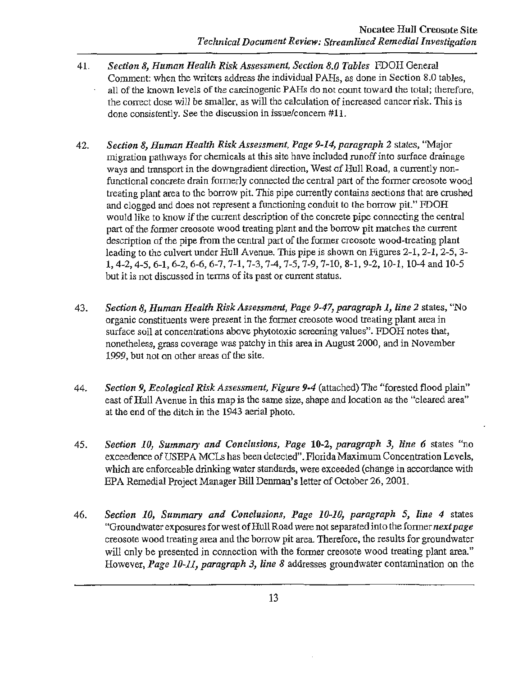- 41. *Section 8, Human Health Risk Assessment, Section 8.0 Tables* FDOH General Comment: when the writers address the individual PAHs, as done in Section 8.0 tables, all of the known levels of the carcinogenic PAHs do not count toward the total; therefore, the correct dose will be smaller, as will the calculation of increased cancer risk. This is done consistently. See the discussion in issue/concern #11.
- 42. *Section 8, Human Health Risk Assessment, Page 9-14, paragraph 2* states, "Major migration pathways for chemicals at this site have included runoff into surface drainage ways and transport in the downgradient direction, West of Hull Road, a currently nonfunctional concrete drain formerly connected the central part of the former creosote wood treating plant area *to* the borrow pit. This pipe currently contains sections that are crushed and clogged and does not represent a functioning conduit to the borrow pit." FDOH would like to know if the current description of the concrete pipe connecting the central part of the former creosote wood treating plant and the borrow pit matches the current description of the pipe from the central part of the former creosote wood-treating plant leading to the culvert under Hull Avenue. This pipe is shown on Figures 2-1, 2-1, 2-5, 3-1, 4-2, 4-5, 6-1, 6-2, 6-6, 6-7, 7-1, 7-3, 7-4, 7-5, 7-9, 7-10, 8-1, 9-2, 10-1, 10-4 and 10-5 but it is not discussed in terms of its past or current status.
- 43. *Section 8, Human Health Risk Assessment, Page 9-47, paragraph 1, line 2* states, "No organic constituents were present in the fonner creosote wood treating plant area in surface soil at concentrations above phytotoxic screening values". FDOH notes that, nonetheless, grass coverage was patchy in this area in August 2000, and in November 1999, but not on other areas of the site.
- 44. *Section 9, Ecological Risk Assessment, Figure 9-4* (attached) The "forested flood plain" east of Hull Avenue in this map is the same size, shape and location as the "cleared area" at the end of the ditch in the 1943 aerial photo.
- 45. *Section 10, Summary and Conclusions, Page* 10-2, *paragraph 3, line 6* states "no exceedence of USEPA MCLs has been detected". Florida Maximum Concentration Levels, which are enforceable drinking water standards, were exceeded (change in accordance with EPA Remedial Project Manager Bill Denman's letter of October 26, 2001.
- 46. *Section 10, Summary and Conclusions, Page 10-10, paragraph 5, line 4* states "Groundwater exposures for west of Hull Road were not separated into the former *next page*  creosote wood treating area and the borrow pit area. Therefore, the results for groundwater will only be presented in connection with the former creosote wood treating plant area." However, *Page 10-11, paragraph 3, line 8* addresses groundwater contamination on the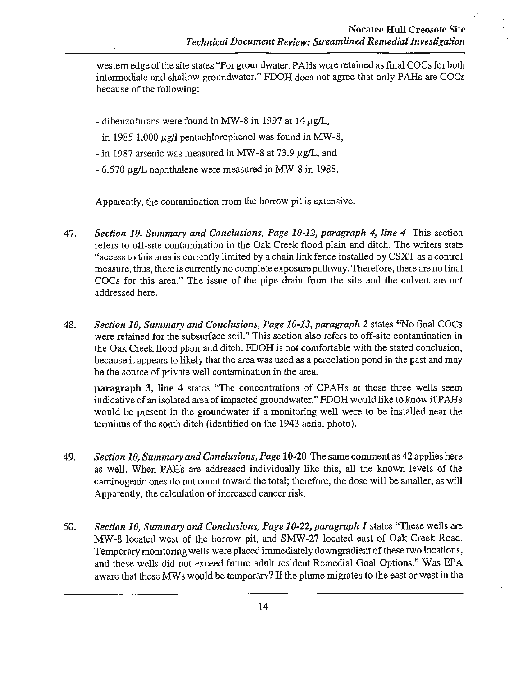western edge of the site states "For groundwater, PAHs were retained as final COCs for both intermediate and shallow groundwater." FDOH does not agree that only PARs are COCs because of the following:

- dibenzofurans were found in MW-8 in 1997 at 14  $\mu$ g/L,
- in 1985 1,000  $\mu$ g/l pentachlorophenol was found in MW-8,
- $\text{-}$  in 1987 arsenic was measured in MW-8 at 73.9  $\mu$ g/L, and
- $-6.570 \mu$ g/L naphthalene were measured in MW-8 in 1988.

Apparently, the contamination from the borrow pit is extensive.

- 47. *Section 10, Summary and Conclusions, Page 10-12, paragraph 4, line 4* This section refers to off-site contamination in the Oak Creek flood plain and ditch. The writers state "access to this area is currently limited by a chain link fence installed by CSXT as a control measure, thus, there is currently no complete exposure pathway. Therefore, there are no final COCs for this area." The issue of the pipe drain from the site and the culvert are not addressed here.
- 48. *Section 10, Summary and Conclusions, Page 10-13, paragraph 2* states ''No final COCs were retained for the subsurface soil." This section also refers to off-site contamination in the Oak Creek flood plain and ditch. FDOH is not comfortable with the stated conclusion, because it appears to likely that the area was used as a percolation pond in the past and may be the source of private well contamination in the area.

paragraph 3, line 4 states "The concentrations of CPAHs at these three wells seem indicative of an isolated area of impacted groundwater." FDOH would like to know if PAHs would be present in the groundwater if a monitoring well were to be installed near the terminus of the south ditch (identified on the 1943 aerial photo).

- 49. *Section 10, Summary and Conclusions, Page* 10-20 The same comment as 42 applies here as well. When PARs are addressed individually like this, all the known levels of the carcinogenic ones do not count toward the total; therefore, the dose will be smaller, as will Apparently, the calculation of increased cancer risk.
- 50. *Section 10, Summary and Conclusions, Page 10-22, paragraph 1* states ''These wells are MW-8 located west of the borrow pit, and SMW-27 located east of Oak Creek Road. Temporary monitoring wells were placed immediately downgradient of these two locations, and these wells did not exceed future adult resident Remedial Goal Options." Was EPA aware that these MWs would be temporary? If the plume migrates to the east or west in the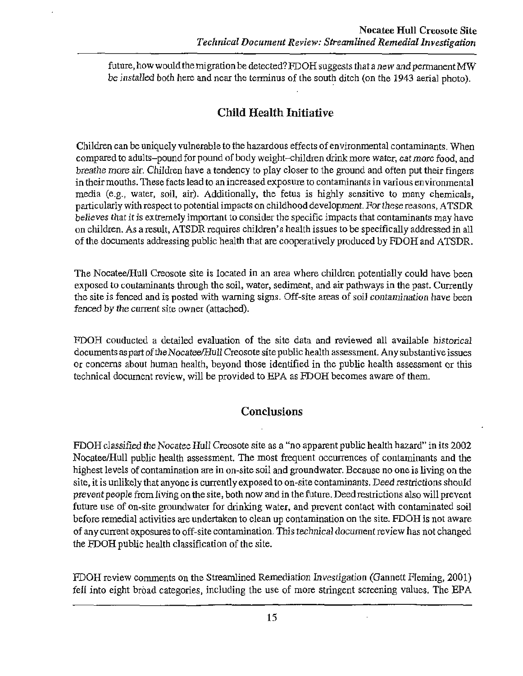future, how would the migration be detected? FDOH suggests that a new and permanent MW be installed both here and near the terminus of the south ditch (on the 1943 aerial photo).

# Child Health Initiative

Children can be uniquely vulnerable to the hazardous effects of environmental contaminants. When compared to adults-pound for pound of body weight-children drink more water, eat more food, and breathe more air. Children have a tendency to play closer to the ground and often put their fingers in their mouths. These facts lead to an increased exposure to contaminants in various environmental media (e.g., water, soil, air). Additionally, the fetus is highly sensitive to many chemicals, particularly with respect to potential impacts on childhood development. For these reasons, ATSDR believes that it is extremely important to consider the specific impacts that contaminants may have on children. As a result, ATSDR requires children's health issues to be specifically addressed in all of the documents addressing public health that are cooperatively produced by FDOH and ATSDR.

The Nocatee/Hull Creosote site is located in an area where children potentially could have been exposed to contaminants through the soil, water, sediment, and air pathways in the past. Currently the site is fenced and is posted with warning signs. Off-site areas of soil contamination have been fenced by the current site owner (attached).

FDOH conducted a detailed evaluation of the site data and reviewed all available historical documents as part of the Nocatee/Hull Creosote site public health assessment. Any substantive issues or concerns about human health, beyond those identified in the public health assessment or this technical document review, will be provided to EPA as FDOH becomes aware of them.

# **Conclusions**

FDOH classified the Nocatee Hull Creosote site as a "no apparent public health hazard" in its 2002 Nocatee/Hull public health assessment. The most frequent occurrences of contaminants and the highest levels of contamination are in on-site soil and groundwater. Because no one is living on the site, it is unlikely that anyone is currently exposed to on-site contaminants. Deed restrictions should prevent people from living on the site, both now and in the future. Deed restrictions also will prevent future use of on-site groundwater for drinking water, and prevent contact with contaminated soil before remedial activities are undertaken to clean up contamination on the site. FDOH is not aware of any current exposures to off-site contamination. This technical document review has not changed the FDOH public health classification of the site.

FDOH review comments on the Streamlined Remediation Investigation (Gannett Fleming, 2001) fell into eight broad categories, including the use of more stringent screening values. The EPA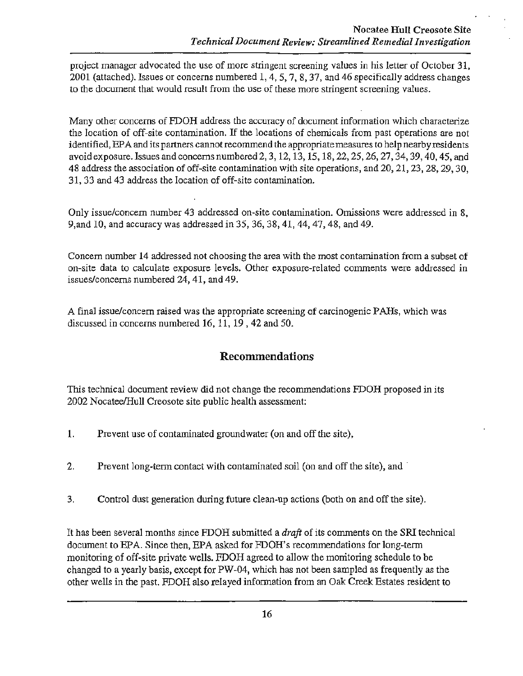project manager advocated the use of more stringent screening values in his letter of October 31, 2001 (attached). Issues or concerns numbered 1, 4, 5, 7, 8, 37, and 46 specifically address changes to the document that would result from the use of these more stringent screening values.

Many other concerns of FDOH address the accuracy of document information which characterize the location of off-site contamination. If the locations of chemicals from past operations are not identified, EPA and its partners cannot recommend the appropriate measures to help nearby residents avoid exposure. Issues and concerns numbered2, 3, 12, 13, 15, 18, 22, 25, 26, 27, 34, 39, 40,45, and 48 address the association of off-site contamination with site operations, and 20, 21, 23, 28, 29, 30, 31, 33 and 43 address the location of off-site contamination.

Only issue/concern number 43 addressed on-site contamination. Omissions were addressed in 8, 9,and 10, and accuracy was addressed in 35, 36, 38, 41, 44, 47, 48, and 49.

Concern number 14 addressed not choosing the area with the most contamination from a subset of on-site data to calculate exposure levels. Other exposure-related comments were addressed in issues/concerns numbered 24, 41, and 49.

A final issue/concern raised was the appropriate screening of carcinogenic P AHs, which was discussed in concerns numbered 16, 11, 19,42 and 50.

# **Recommendations**

This technical document review did not change the recommendations FDOH proposed in its 2002 Nocatee/Hull Creosote site public health assessment:

- 1. Prevent use of contaminated groundwater (on and off the site),
- 2. Prevent long-term contact with contaminated soil (on and off the site), and
- 3. Control dust generation during future clean-up actions (both on and off the site).

It has been several months since FDOH submitted a *draft* of its comments on the SRI technical document to EPA. Since then, EPA asked for FDOH's recommendations for long-term monitoring of off-site private wells. FDOH agreed to allow the monitoring schedule to be changed to a yearly basis, except for PW-04, which has not been sampled as frequently as the other wells in the past. FDOH also relayed information from an Oak Creek Estates resident to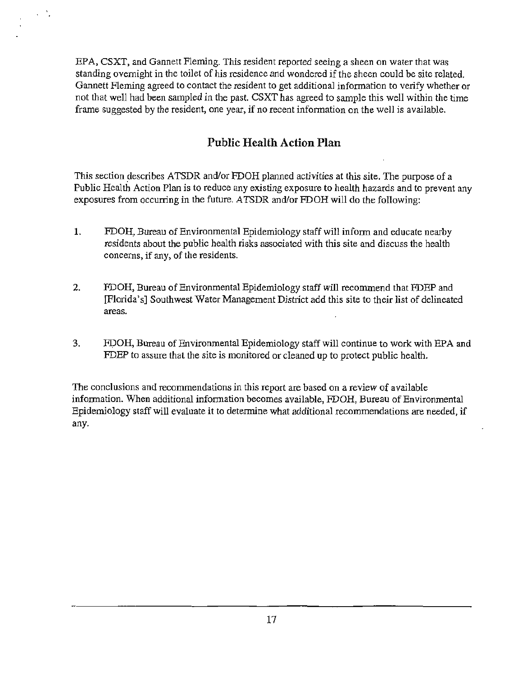EPA, CSXT, and Gannett Fleming. This resident reported seeing a sheen on water that was standing overnight in the toilet of his residence and wondered if the sheen could be site related. Gannett Fleming agreed to contact the resident to get additional information to verify whether or not that well had been sampled in the past. CSXT has agreed to sample this well within the time frame suggested by the resident, one year, if no recent information on the well is available.

# **Public Health Action Plan**

This section describes ATSDR and/or FDOH planned activities at this site. The purpose of a Public Health Action Plan is to reduce any existing exposure to health hazards and to prevent any exposures from occuning in the future. ATSDR and/or FDOH will do the following:

- **1.** FDOH, Bureau of Environmental Epidemiology staff will inform and educate nearby residents about the public health risks associated with this site and discuss the health concerns, if any, of the residents.
- 2. FDOH, Bureau of Environmental Epidemiology staff will recommend that FDEP and [Florida's] Southwest Water Management District add this site to their list of delineated areas.
- 3. FPOH, Bureau of Environmental Epidemiology staff will continue to work with EPA and FDEP to assure that the site is monitored or cleaned up to protect public health.

The conclusions and recommendations in *this* report are based on a review of available information. When additional information becomes available, FDOH, Bureau of Environmental Epidemiology staff will evaluate it to determine what additional recommendations are needed, if any.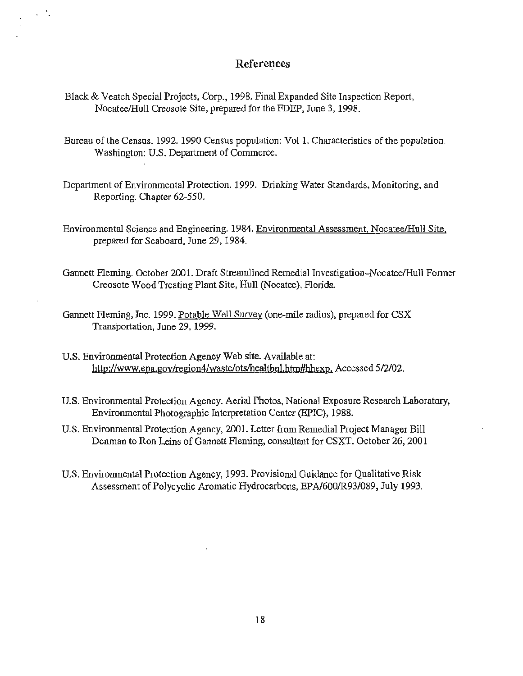# r **References**

Black & Veatch Special Projects, Corp., 1998. Final Expanded Site Inspection Report, Nocatee/Hull Creosote Site, prepared for the FDEP, June 3, 1998.

 $\sim$   $\sim$ 

- Bureau of the Census. 1992. 1990 Census population: Vol 1. Characteristics of the population. Washington: U.S. Department of Commerce.
- Department of Environmental Protection. 1999. Drinking Water Standards, Monitoring, and Reporting. Chapter 62-550.
- Environmental Science and Engineering. 1984. Environmental Assessment, Nocatee/Hull Site, prepared for Seaboard, June 29, 1984.
- Gannett Fleming. October 2001. Draft Streamlined Remedial Investigation- Nocatee/Hull Former Creosote Wood Treating Plant Site, Hull (Nocatee), Florida.
- Gannett Fleming, Inc. 1999. Potable Well Survey (one-mile radius), prepared for CSX Transportation, June 29, 1999.
- U.S. Environmental Protection Agency Web site. Available at: http://www.epa.gov/region4/waste/ots/healtbul.htm#hhexp. Accessed 5/2/02.
- U.S. Environmental Protection Agency. Aerial Photos, National Exposure Research Laboratory, Environmental Photographic Interpretation Center (EPIC), 1988.
- U.S. Environmental Protection Agency, 2001. Letter from Remedial Project Manager Bill Denman to Ron Leins of Gannett Fleming, consultant for CSXT. October 26, 2001
- U.S. Environmental Protection Agency, 1993. Provisional Guidance for Qualitative Risk Assessment of Polycyclic Aromatic Hydrocarbons, EPA/600/R93/089, July 1993.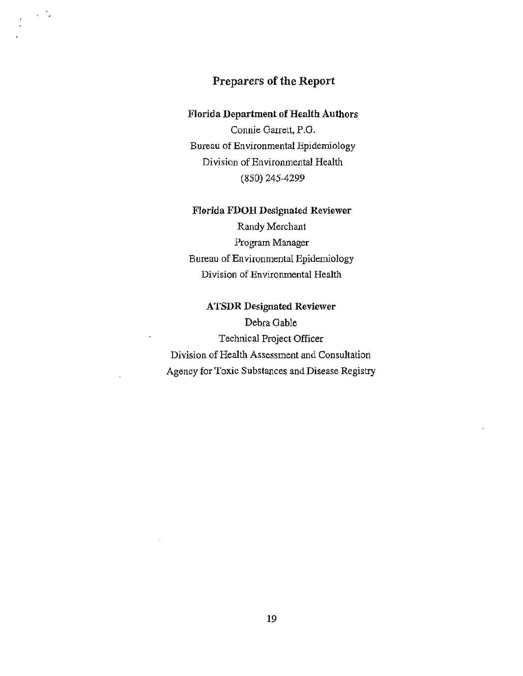## Preparers of the Report

 $\sim$   $\sim$ 

#### Florida Department of Health Authors

Connie Garrett, P.O. Bureau of Environmental Epidemiology Division of Environmental Health (850) 245-4299

#### Florida FDOH Designated Reviewer

Randy Merchant Program Manager Bureau of Environmental Epidemiology Division of Environmental Health

ATSDR Designated Reviewer Debra Gable Technical Project Officer Division of Health Assessment and Consultation Agency for Toxic Substances and Disease Registry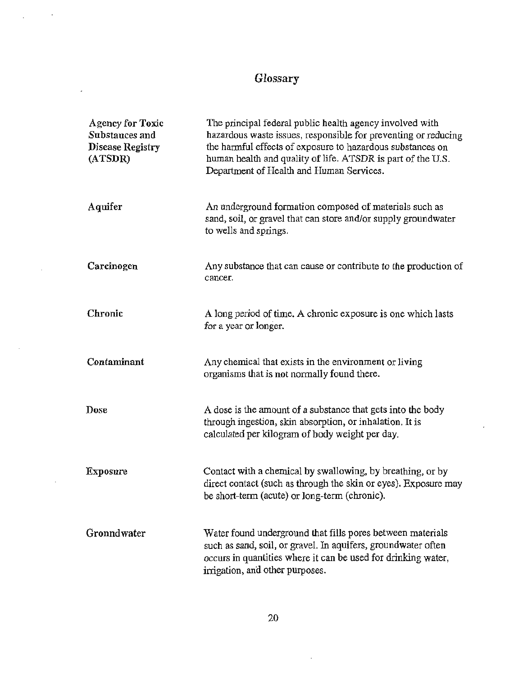# Glossary

 $\cdot$ 

l,

 $\overline{a}$ 

l,

 $\overline{\phantom{a}}$ 

| <b>Agency for Toxic</b><br>Substances and<br><b>Disease Registry</b><br>(ATSDR) | The principal federal public health agency involved with<br>hazardous waste issues, responsible for preventing or reducing<br>the harmful effects of exposure to hazardous substances on<br>human health and quality of life. ATSDR is part of the U.S.<br>Department of Health and Human Services. |
|---------------------------------------------------------------------------------|-----------------------------------------------------------------------------------------------------------------------------------------------------------------------------------------------------------------------------------------------------------------------------------------------------|
| Aquifer                                                                         | An underground formation composed of materials such as<br>sand, soil, or gravel that can store and/or supply groundwater<br>to wells and springs.                                                                                                                                                   |
| Carcinogen                                                                      | Any substance that can cause or contribute to the production of<br>cancer.                                                                                                                                                                                                                          |
| Chronic                                                                         | A long period of time. A chronic exposure is one which lasts<br>for a year or longer.                                                                                                                                                                                                               |
| Contaminant                                                                     | Any chemical that exists in the environment or living<br>organisms that is not normally found there.                                                                                                                                                                                                |
| <b>Dose</b>                                                                     | A dose is the amount of a substance that gets into the body<br>through ingestion, skin absorption, or inhalation. It is<br>calculated per kilogram of body weight per day.                                                                                                                          |
| <b>Exposure</b>                                                                 | Contact with a chemical by swallowing, by breathing, or by<br>direct contact (such as through the skin or eyes). Exposure may<br>be short-term (acute) or long-term (chronic).                                                                                                                      |
| Gronndwater                                                                     | Water found underground that fills pores between materials<br>such as sand, soil, or gravel. In aquifers, groundwater often<br>occurs in quantities where it can be used for drinking water,<br>irrigation, and other purposes.                                                                     |

 $\overline{\phantom{a}}$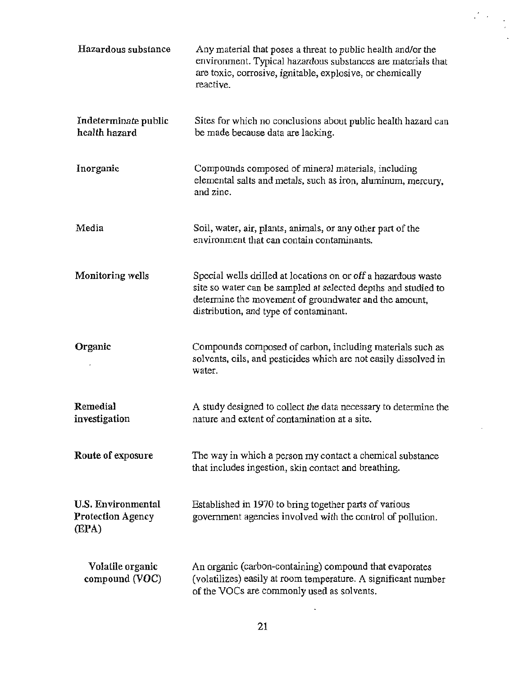| Hazardous substance                                            | Any material that poses a threat to public health and/or the<br>environment. Typical hazardous substances are materials that<br>are toxic, corrosive, ignitable, explosive, or chemically<br>reactive.                              |
|----------------------------------------------------------------|-------------------------------------------------------------------------------------------------------------------------------------------------------------------------------------------------------------------------------------|
| Indeterminate public<br>health hazard                          | Sites for which no conclusions about public health hazard can<br>be made because data are lacking.                                                                                                                                  |
| Inorganic                                                      | Compounds composed of mineral materials, including<br>elemental salts and metals, such as iron, aluminum, mercury,<br>and zinc.                                                                                                     |
| Media                                                          | Soil, water, air, plants, animals, or any other part of the<br>environment that can contain contaminants.                                                                                                                           |
| Monitoring wells                                               | Special wells drilled at locations on or off a hazardous waste<br>site so water can be sampled at selected depths and studied to<br>determine the movement of groundwater and the amount,<br>distribution, and type of contaminant. |
| Organic                                                        | Compounds composed of carbon, including materials such as<br>solvents, oils, and pesticides which are not easily dissolved in<br>water.                                                                                             |
| Remedial<br>investigation                                      | A study designed to collect the data necessary to determine the<br>nature and extent of contamination at a site.                                                                                                                    |
| Route of exposure                                              | The way in which a person my contact a chemical substance<br>that includes ingestion, skin contact and breathing.                                                                                                                   |
| <b>U.S. Environmental</b><br><b>Protection Agency</b><br>(EPA) | Established in 1970 to bring together parts of various<br>government agencies involved with the control of pollution.                                                                                                               |
| Volatile organic<br>compound (VOC)                             | An organic (carbon-containing) compound that evaporates<br>(volatilizes) easily at room temperature. A significant number<br>of the VOCs are commonly used as solvents.                                                             |

 $\overline{\phantom{a}}$ 

 $\ddot{\phantom{a}}$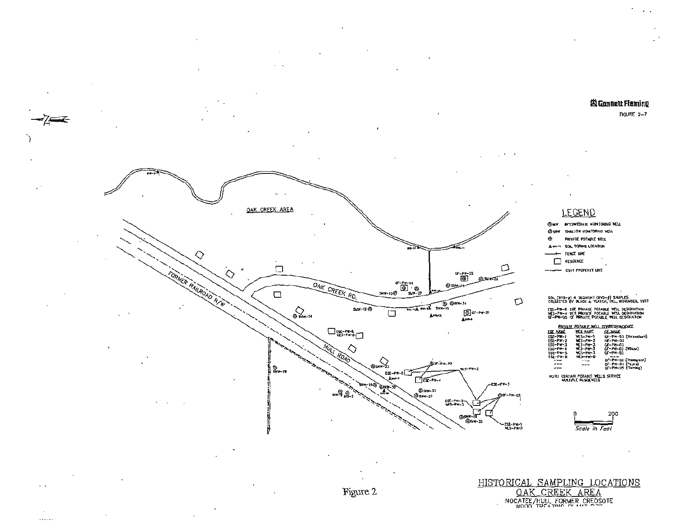#### **古 Gannett Fleming**

FIGURE 2-7



SHALLOW MONITORING WELL ŵэ .<br>Private potable talu, SOIL BORDIG LOCATION A small. FENCE UND RESOENCE П

CSXT PROPERTY LINE

sol (8VS-#) & SECHENT (8VD-#) SAUPLES<br>COLLECTED BY BLACK & YEATCH, INC., NOVEKBER. 1997

ese-Pr-6 ese private potable well designation<br>Més-Pr-4 wes private potable well designation<br>GT-Pr-03 of private potable well designation

|                 |                 | PRIVATE POTABLE WILL CORRESPONDENCE |
|-----------------|-----------------|-------------------------------------|
| <b>ISE NAME</b> | WES HAVE        | OF HAME                             |
| 1-49-121        | WES-PW-1        | ローPw-03 (Threadland)                |
| <b>ESE-PW-2</b> | <b>WES-PW-2</b> | $CD = PM - 0.3$                     |
| $ESF-PF-3$      | $MCS-PM-3$      | $C - P - 03$                        |
| ESE-Pw-4        | <b>WLS-PN-3</b> | CF-PW-02 (Wison)                    |
| ISE-PW-5        | WCS-PH-3        | $C$ F-P $H$ -D2                     |
| ESE-PW-B        | <b>WES-PW-B</b> |                                     |
| $-1$            | ---             | CF-PW-DI (Thompson)                 |
| ---             | ---             | CF-PW-04 (Payna)                    |
|                 |                 | G-PW-D3 (Ruming)                    |

HOTE: CIRTAIN POTABLE WILLS SERVICE<br>WULTPLE FESORINCES



HISTORICAL SAMPLING LOCATIONS OAK CREEK AREA NOCATEE/HULL FORMER CREOSOTE



 $\ldots$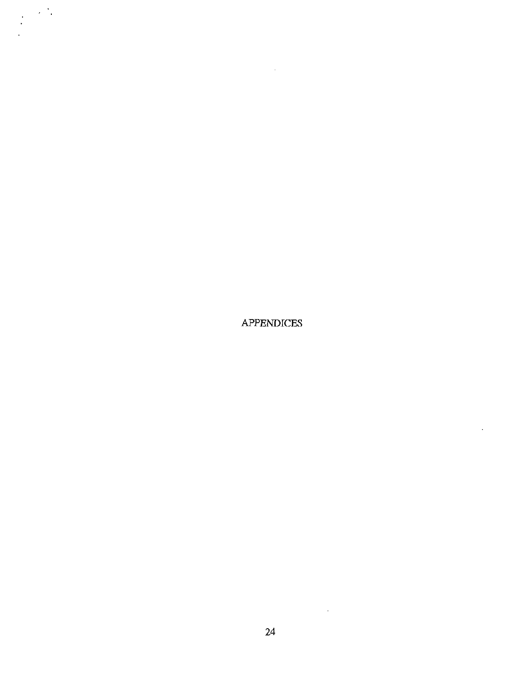**APPENDICES** 

 $\cdot$ 

 $\sim$   $\sim$ 

 $\sim 25$ 

 $\ddot{\cdot}$ 

 $\sim$   $\sim$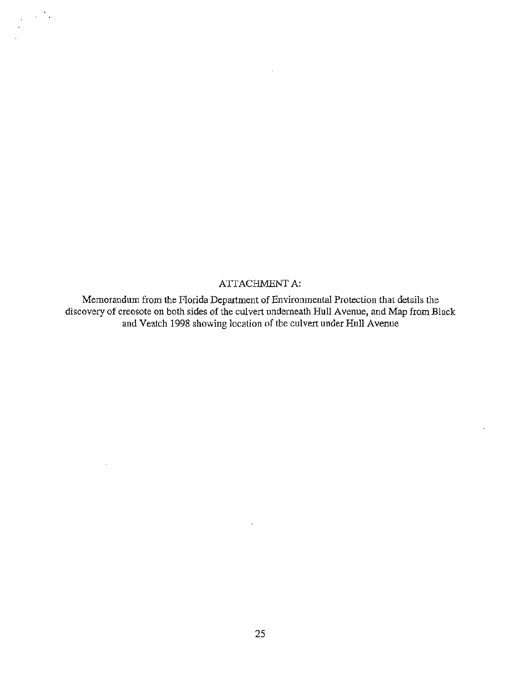#### ATTACHMENT A:

 $\sim 10^4$  .

J.

Memorandum from the Florida Department of Environmental Protection that details the discovery of creosote on both sides of the culvert underneath Hull A venue, and Map from Black and Veatch 1998 showing location of the culvert under Hull Avenue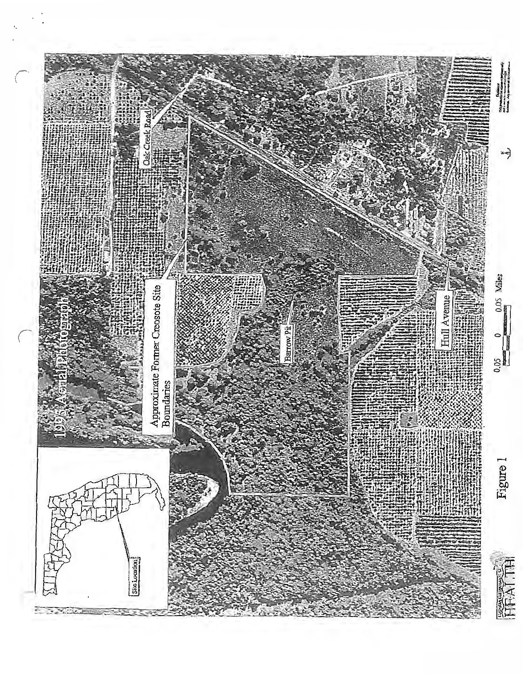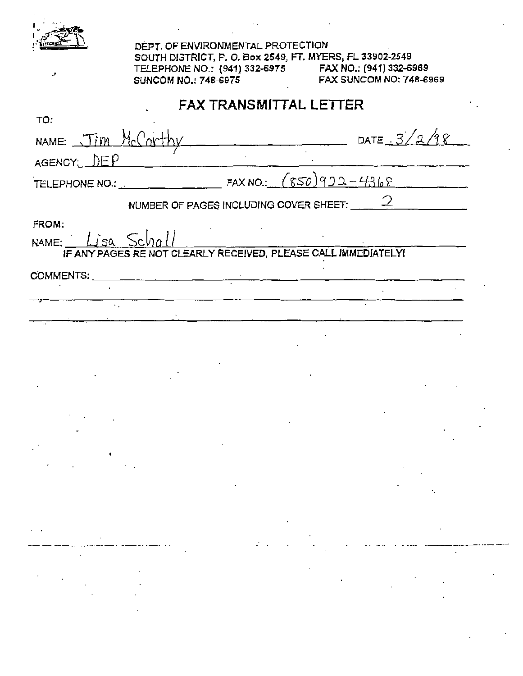|                                                                                                                                                                                                                                                                                                                                                                                                                                                                                                    | DEPT, OF ENVIRONMENTAL PROTECTION<br>SOUTH DISTRICT, P. O. Box 2549, FT. MYERS, FL 33902-2549<br><b>SUNCOM NO.: 748-6975</b> |                                   |                        | TELEPHONE NO.: (941) 332-6975 FAX NO.: (941) 332-6969<br><b>FAX SUNCOM NO: 748-6969</b> |  |
|----------------------------------------------------------------------------------------------------------------------------------------------------------------------------------------------------------------------------------------------------------------------------------------------------------------------------------------------------------------------------------------------------------------------------------------------------------------------------------------------------|------------------------------------------------------------------------------------------------------------------------------|-----------------------------------|------------------------|-----------------------------------------------------------------------------------------|--|
| TO:                                                                                                                                                                                                                                                                                                                                                                                                                                                                                                |                                                                                                                              |                                   | FAX TRANSMITTAL LETTER |                                                                                         |  |
| NAME: Jim McCarthy                                                                                                                                                                                                                                                                                                                                                                                                                                                                                 |                                                                                                                              |                                   |                        | DATE $3/2/98$                                                                           |  |
| AGENCY: DEP                                                                                                                                                                                                                                                                                                                                                                                                                                                                                        |                                                                                                                              |                                   |                        |                                                                                         |  |
|                                                                                                                                                                                                                                                                                                                                                                                                                                                                                                    |                                                                                                                              |                                   |                        |                                                                                         |  |
|                                                                                                                                                                                                                                                                                                                                                                                                                                                                                                    | NUMBER OF PAGES INCLUDING COVER SHEET: $2$                                                                                   |                                   |                        |                                                                                         |  |
| FROM:<br>NAME: $Lisa$ , $Schall$                                                                                                                                                                                                                                                                                                                                                                                                                                                                   | IF ANY PAGES RE NOT CLEARLY RECEIVED, PLEASE CALL IMMEDIATELY!                                                               |                                   |                        |                                                                                         |  |
| COMMENTS:                                                                                                                                                                                                                                                                                                                                                                                                                                                                                          |                                                                                                                              |                                   |                        |                                                                                         |  |
|                                                                                                                                                                                                                                                                                                                                                                                                                                                                                                    |                                                                                                                              | the company of the company of the |                        |                                                                                         |  |
|                                                                                                                                                                                                                                                                                                                                                                                                                                                                                                    |                                                                                                                              |                                   |                        |                                                                                         |  |
|                                                                                                                                                                                                                                                                                                                                                                                                                                                                                                    |                                                                                                                              |                                   |                        |                                                                                         |  |
|                                                                                                                                                                                                                                                                                                                                                                                                                                                                                                    |                                                                                                                              |                                   |                        |                                                                                         |  |
|                                                                                                                                                                                                                                                                                                                                                                                                                                                                                                    |                                                                                                                              |                                   |                        |                                                                                         |  |
|                                                                                                                                                                                                                                                                                                                                                                                                                                                                                                    |                                                                                                                              |                                   |                        |                                                                                         |  |
|                                                                                                                                                                                                                                                                                                                                                                                                                                                                                                    |                                                                                                                              |                                   |                        |                                                                                         |  |
|                                                                                                                                                                                                                                                                                                                                                                                                                                                                                                    |                                                                                                                              |                                   |                        |                                                                                         |  |
| $\mathcal{L}(\mathcal{L}(\mathcal{L}(\mathcal{L}(\mathcal{L}(\mathcal{L}(\mathcal{L}(\mathcal{L}(\mathcal{L}(\mathcal{L}(\mathcal{L}(\mathcal{L}(\mathcal{L}(\mathcal{L}(\mathcal{L}(\mathcal{L}(\mathcal{L}(\mathcal{L}(\mathcal{L}(\mathcal{L}(\mathcal{L}(\mathcal{L}(\mathcal{L}(\mathcal{L}(\mathcal{L}(\mathcal{L}(\mathcal{L}(\mathcal{L}(\mathcal{L}(\mathcal{L}(\mathcal{L}(\mathcal{L}(\mathcal{L}(\mathcal{L}(\mathcal{L}(\mathcal{L}(\mathcal{$<br>the contract of the contract of the |                                                                                                                              |                                   |                        |                                                                                         |  |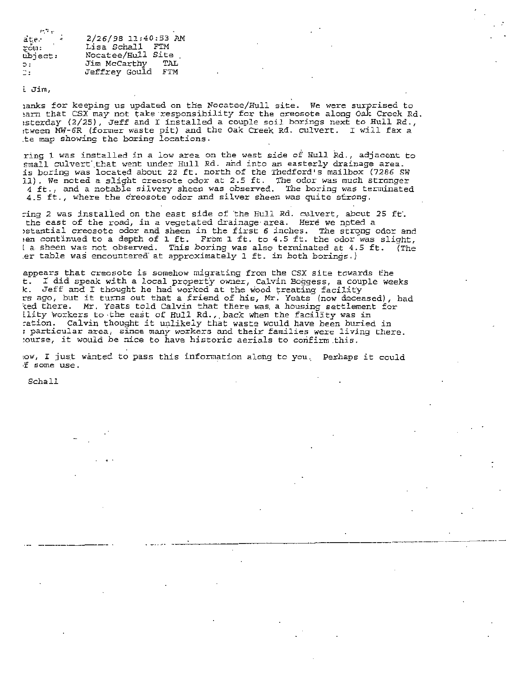| 地下的             |                      |
|-----------------|----------------------|
|                 | 2/26/98 11:40:53 AM  |
| ate.<br>Pow:    | Lisa Schall FTM      |
| ubject:         | Nocatee/Hull Site    |
| $\mathcal{D}$ : | Jim McCarthy<br>TAL  |
| 2:              | Jeffrey Gould<br>FTM |

i. Jim,

1anks for keeping us updated on the Nocatee/Hull site. We were surprised to hand for text may not take responsibility for the creosote along Oak Creek Rd. ~sterday (2/25), Jeff and I installed a couple soil borings next to Hull Rd., ~tween MW- 6R (former waste pit) and the Oak Creek Rd. culvert. I will fax a te map showing the boring locations.

ring 1 was installed in a low area on the west side of Hull Rd., adjacent to small culvert that went under Hull Rd. and into an easterly drainage area. is boring was located about 22 ft. north of the Thedford's mailbox (7286 SW 11). We noted a slight creosote odor at 2.5 ft. The odor was much stronger 4ft., and a notable silvery sheen was observed . The boring was terminated 4.5 ft . , where the creosote odor and silver sheen was *quite* strong.

:ing 2 was installed on the east side of the Hull Rd. culvert, about 25 ft.<br>the east of the road, in a vegetated drainage area. Here we noted a betantial creosote odor and sheen in the first 6 inches. The strong odor and en continued to a depth of 1 ft. From 1 ft. to 4.5 ft. the odor was slight, la sheen was not observed. This boring was also terminated at 4.5 ft. (The .er table was encountered at approximately 1 ft. in both borings.)

appears that creosote is somehow migrating from the CSX site towards the t. I did speak with a local property owner, Calvin Boggess, a couple weeks k. Jeff and I thought he had worked at the wood treating facility rs ago, but it turns out that a friend of his, Mr. Yeats (now deceased), had ed there. Mr. Yeats told Calvin that there was a housing settlement for ility workers to the east of Hull Rd., back when the facility was in ration. Calvin thought it unlikely that waste would have been buried in ; particular area, since many workers and their families were living there. :ourse, it would be nice to have historic aerials to confirm this.

tow, I just wanted to pass this information along to you. Perhaps it could ·'f some use.

. - ··-· ---- - --------- - ---··-------·--· ·--·-

Schall

. . .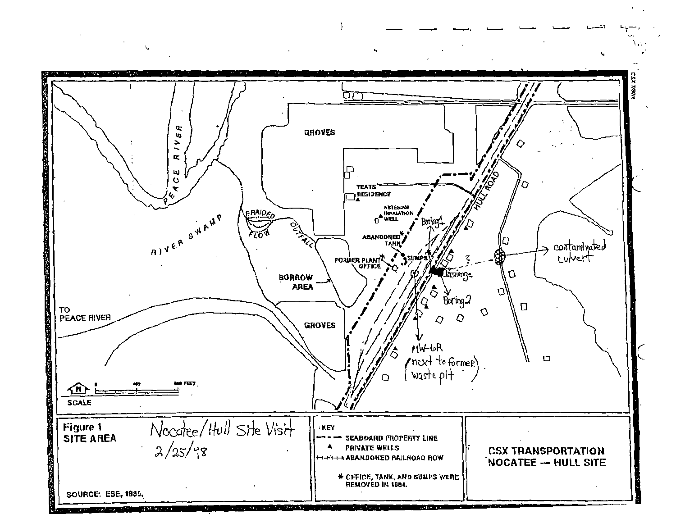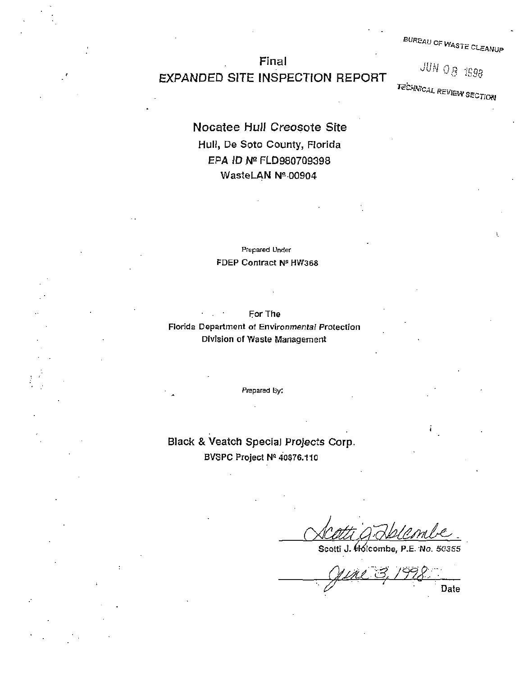BUREAU oF WASTe CLEANUP

# Final EXPANDED SITE INSPECTION REPORT

**JUN 08 1998** 

**TECHNICAL REVIEW SECTION** 

# Nocatee Hull Creosote Site Hull, De Soto County, Florida EPA ID N2 FLD980709398 WasteLAN Nº 00904

#### Prepared Under FDEP Contract N9 HW368

#### For The Florida Department of Environmental Protection Division of Waste Management

Prepared By!

# Black & Veatch Special Projects Corp. BVSPC Project Nº 40876.110

.·

50355 Scotti J. Holcombe.

Date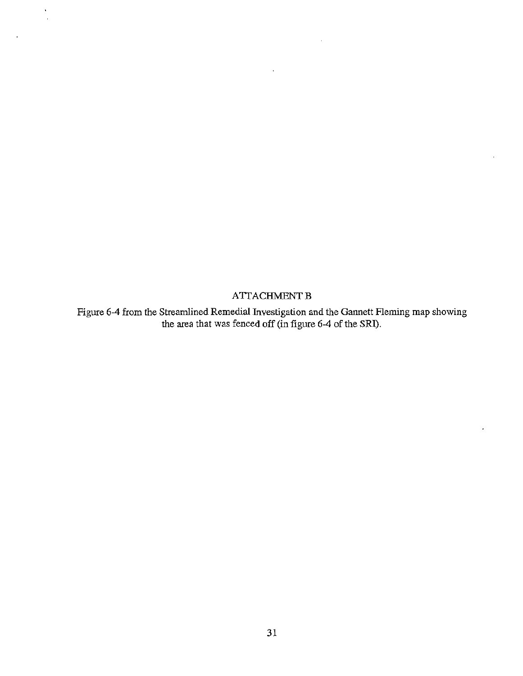**ATTACHMENT B** 

 $\ddot{\phantom{a}}$  $\bar{z}$ 

> Figure 6-4 from the Streamlined Remedial Investigation and the Gannett Fleming map showing the area that was fenced off (in figure 6-4 of the SRI).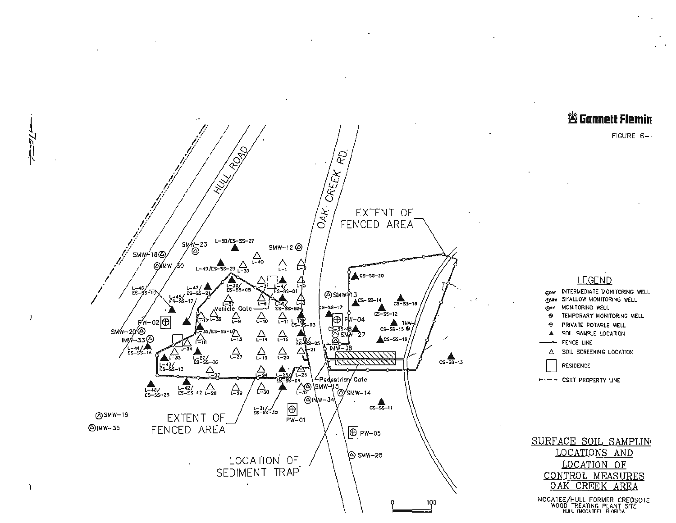





NOCATEE/HULL FORMER CREOSOTE<br>WOOD TREATING PLANT SITE<br>HULL (NOCATEE) FLORIDA



 $\overline{1}$ 

f,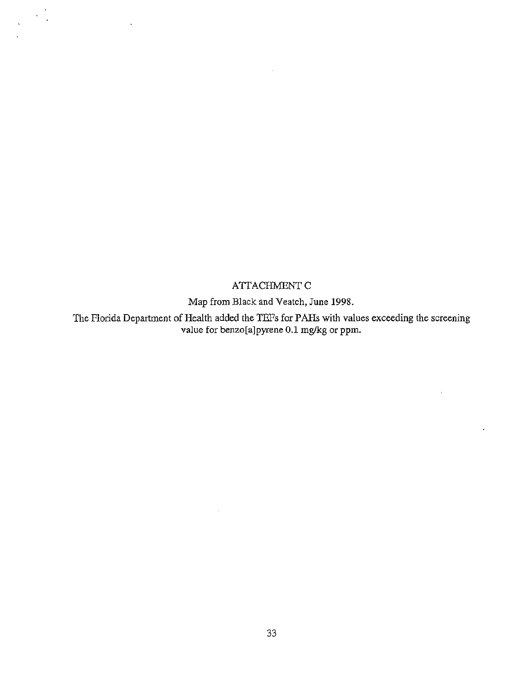#### ATTACHMENT C

Map from Black and Veatch, June 1998.

The Florida Department of Health added the TEFs for PAHs with values exceeding the screening value for benzo[a]pyrene 0.1 mg/kg or ppm.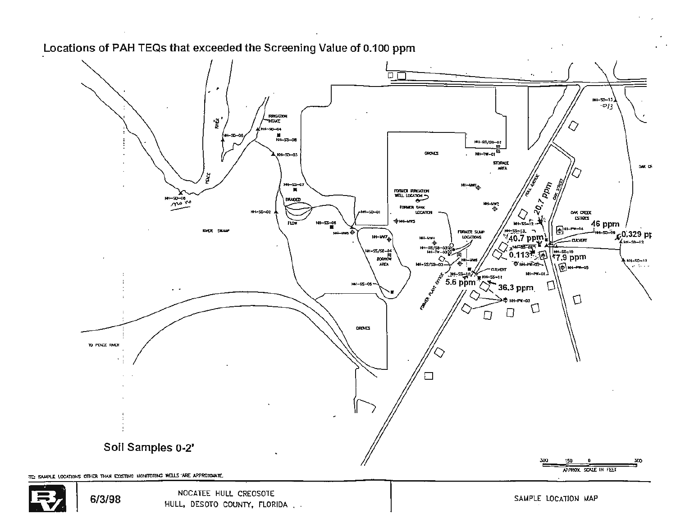

#### Locations of PAH TEQs that exceeded the Screening Value of 0.100 ppm

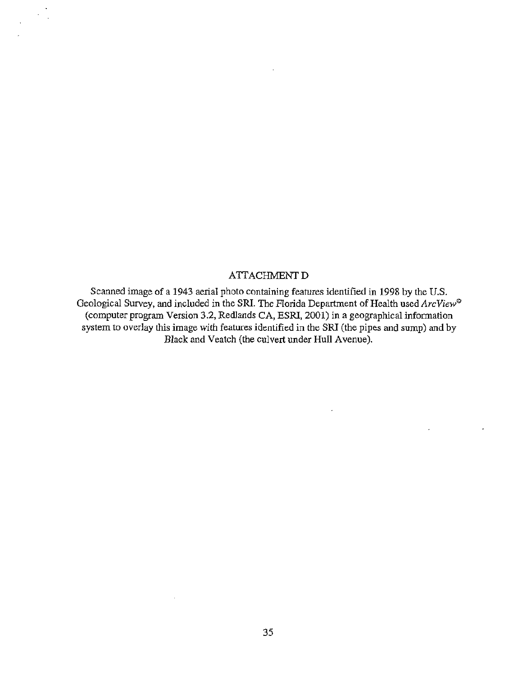#### **ATTACHMENT D**

 $\overline{\phantom{a}}$  $\ddot{\phantom{a}}$ 

> Scanned image of a 1943 aerial photo containing features identified in 1998 by the U.S. Geological Survey, and included in the SRI. The Florida Department of Health used ArcView<sup>®</sup> (computer program Version 3.2, Redlands CA, ESRI, 2001) in a geographical information system to overlay this image with features identified in the SRI (the pipes and sump) and by Black and Veatch (the culvert under Hull Avenue).

> > $\overline{a}$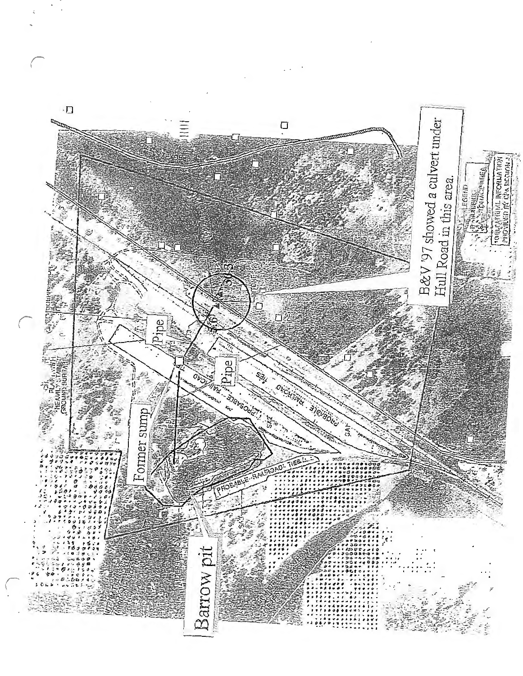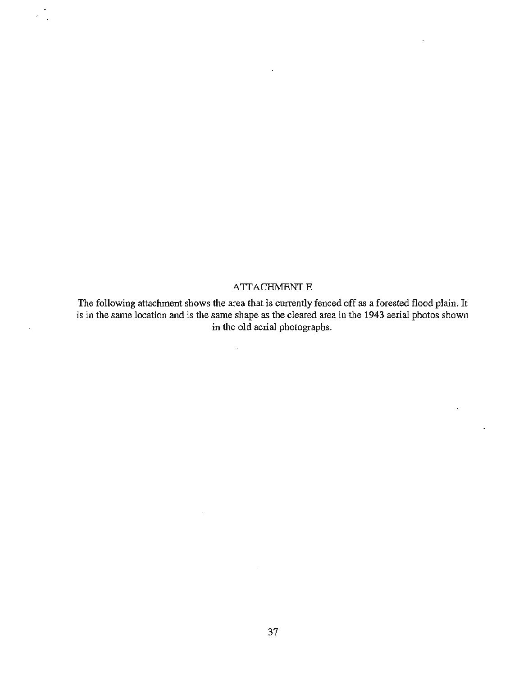#### **ATTACHMENT E**

The following attachment shows the area that is currently fenced off as a forested flood plain. It is in the same location and is the same shape as the cleared area in the 1943 aerial photos shown in the old aerial photographs.

J.

 $\bar{\beta}$ 

r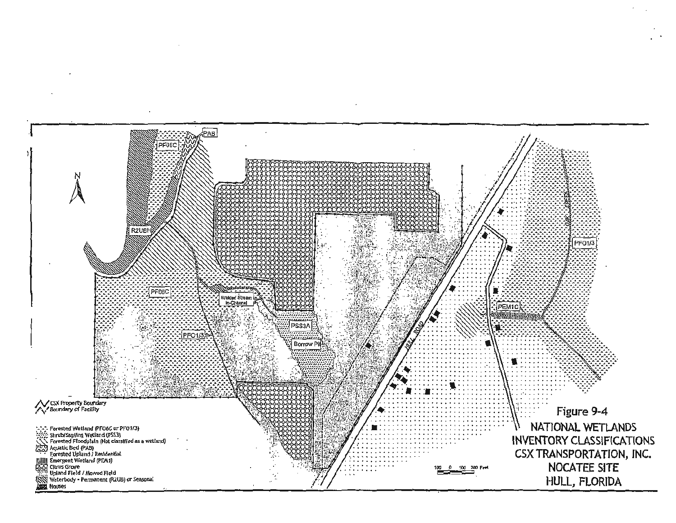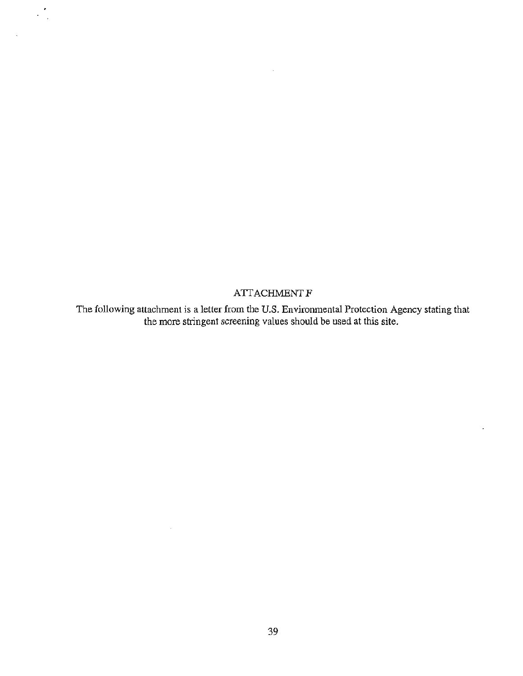#### **ATTACHMENT F**

 $\mathcal{L}_{\mathcal{A}}^{\mathcal{A}}$ 

J.

The following attachment is a letter from the U.S. Environmental Protection Agency stating that the more stringent screening values should be used at this site.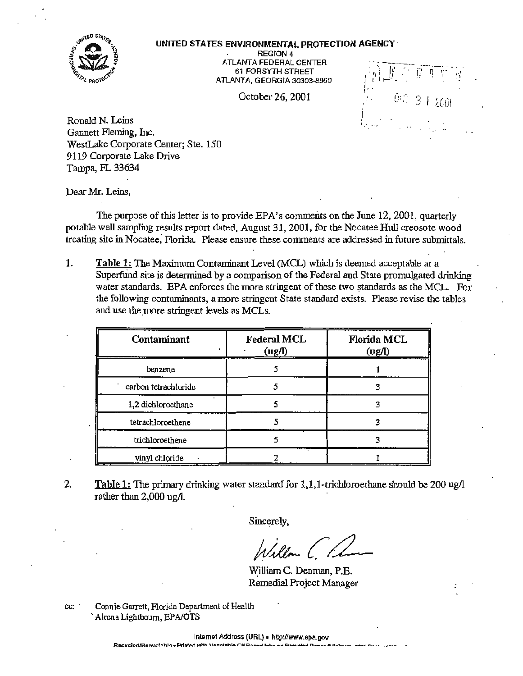

#### UNITED STATES ENVIRONMENTAL PROTECTION AGENCY·

REGION 4 ATLANTA FEDERAL CENTER 61 FORSYTH STREET ATLANTA, GEORGIA 30303-8960

October 26, 2001

*1 ·:; ,* [ I' ;; ~ ~=- -~·,' ' · .. . ' • r--- . . . ' ''.  $v_{i+1}$  3 1 2001 •.· .. ,

Ronald N. Leins Gannett Fleming, Inc. WestLake Corporate Center; Ste. 150 9119 Corporate Lake Drive Tampa, FL 33634

Dear Mr. Leins,

The purpose of this letter is to provide EPA's comments on the June 12, 2001, quarterly potable well sampling results report dated, August 31, 2001, for the Nocatee Hull creosote wood treating site in Nocatee, Florida. Please ensure these comments are addressed in future submittals.

1. Table 1: The Maximum Contaminant Level (MCL) which is deemed acceptable at a Superfund site is determined by a comparison of the Federal and State promulgated drinking water standards. EPA enforces the more stringent of these two standards as the MCL. For the following contaminants, a more stringent State standard exists. Please revise the tables and use the more stringent levels as MCLs.

| Contaminant          | <b>Federal MCL</b><br>(ug/l) | Florida MCL<br>$\left(\text{ug/l}\right)$ |
|----------------------|------------------------------|-------------------------------------------|
| benzene              |                              |                                           |
| carbon tetrachloride |                              |                                           |
| 1,2 dichloroethane   |                              |                                           |
| tetrachloroethene    |                              |                                           |
| trichloroethene      |                              |                                           |
| vinyl chloride       |                              |                                           |

2. Table 1: The primary drinking water standard for  $1,1,1$ -trichloroethane should be 200 ug/l rather than 2,000 ug/1.

Sincerely,

~illiam C. Denman, P.E. Remedial Project Manager

cc: · Connie Garrett, Florida Department of Health Alrena Lightbourn, EPA/OTS

lntemet Address (URL) • http://www.epa.gov